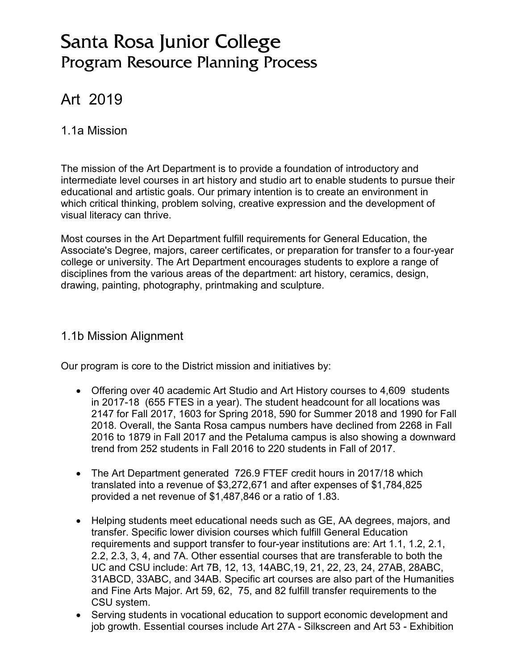# Santa Rosa Junior College Program Resource Planning Process

# Art 2019

### 1.1a Mission

The mission of the Art Department is to provide a foundation of introductory and intermediate level courses in art history and studio art to enable students to pursue their educational and artistic goals. Our primary intention is to create an environment in which critical thinking, problem solving, creative expression and the development of visual literacy can thrive.

Most courses in the Art Department fulfill requirements for General Education, the Associate's Degree, majors, career certificates, or preparation for transfer to a four-year college or university. The Art Department encourages students to explore a range of disciplines from the various areas of the department: art history, ceramics, design, drawing, painting, photography, printmaking and sculpture.

### 1.1b Mission Alignment

Our program is core to the District mission and initiatives by:

- Offering over 40 academic Art Studio and Art History courses to 4,609 students in 2017-18 (655 FTES in a year). The student headcount for all locations was 2147 for Fall 2017, 1603 for Spring 2018, 590 for Summer 2018 and 1990 for Fall 2018. Overall, the Santa Rosa campus numbers have declined from 2268 in Fall 2016 to 1879 in Fall 2017 and the Petaluma campus is also showing a downward trend from 252 students in Fall 2016 to 220 students in Fall of 2017.
- The Art Department generated 726.9 FTEF credit hours in 2017/18 which translated into a revenue of \$3,272,671 and after expenses of \$1,784,825 provided a net revenue of \$1,487,846 or a ratio of 1.83.
- Helping students meet educational needs such as GE, AA degrees, majors, and transfer. Specific lower division courses which fulfill General Education requirements and support transfer to four-year institutions are: Art 1.1, 1.2, 2.1, 2.2, 2.3, 3, 4, and 7A. Other essential courses that are transferable to both the UC and CSU include: Art 7B, 12, 13, 14ABC,19, 21, 22, 23, 24, 27AB, 28ABC, 31ABCD, 33ABC, and 34AB. Specific art courses are also part of the Humanities and Fine Arts Major. Art 59, 62, 75, and 82 fulfill transfer requirements to the CSU system.
- Serving students in vocational education to support economic development and job growth. Essential courses include Art 27A - Silkscreen and Art 53 - Exhibition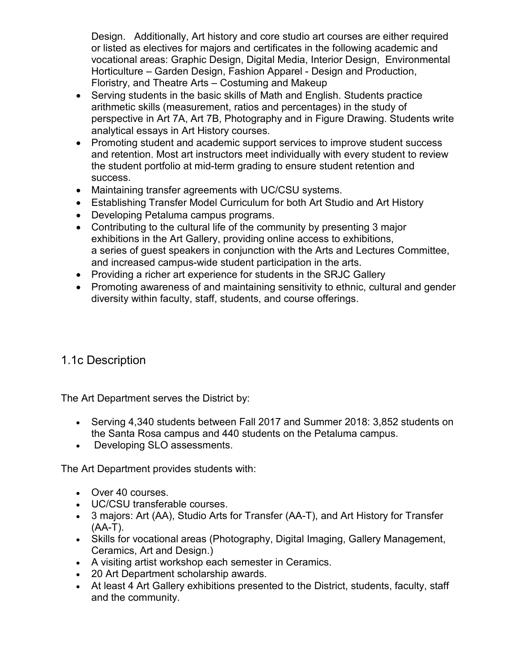Design. Additionally, Art history and core studio art courses are either required or listed as electives for majors and certificates in the following academic and vocational areas: Graphic Design, Digital Media, Interior Design, Environmental Horticulture – Garden Design, Fashion Apparel - Design and Production, Floristry, and Theatre Arts – Costuming and Makeup

- Serving students in the basic skills of Math and English. Students practice arithmetic skills (measurement, ratios and percentages) in the study of perspective in Art 7A, Art 7B, Photography and in Figure Drawing. Students write analytical essays in Art History courses.
- Promoting student and academic support services to improve student success and retention. Most art instructors meet individually with every student to review the student portfolio at mid-term grading to ensure student retention and success.
- Maintaining transfer agreements with UC/CSU systems.
- Establishing Transfer Model Curriculum for both Art Studio and Art History
- Developing Petaluma campus programs.
- Contributing to the cultural life of the community by presenting 3 major exhibitions in the Art Gallery, providing online access to exhibitions, a series of guest speakers in conjunction with the Arts and Lectures Committee, and increased campus-wide student participation in the arts.
- Providing a richer art experience for students in the SRJC Gallery
- Promoting awareness of and maintaining sensitivity to ethnic, cultural and gender diversity within faculty, staff, students, and course offerings.

## 1.1c Description

The Art Department serves the District by:

- Serving 4,340 students between Fall 2017 and Summer 2018: 3,852 students on the Santa Rosa campus and 440 students on the Petaluma campus.
- Developing SLO assessments.

The Art Department provides students with:

- Over 40 courses.
- UC/CSU transferable courses.
- 3 majors: Art (AA), Studio Arts for Transfer (AA-T), and Art History for Transfer  $(AA-T)$ .
- Skills for vocational areas (Photography, Digital Imaging, Gallery Management, Ceramics, Art and Design.)
- A visiting artist workshop each semester in Ceramics.
- 20 Art Department scholarship awards.
- At least 4 Art Gallery exhibitions presented to the District, students, faculty, staff and the community.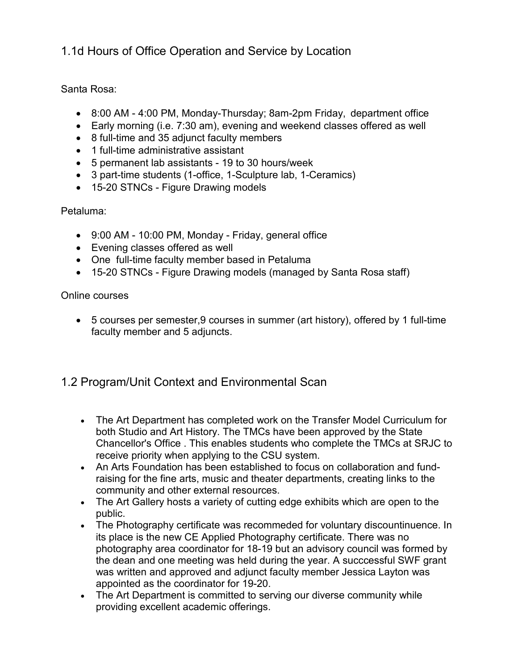1.1d Hours of Office Operation and Service by Location

Santa Rosa:

- 8:00 AM 4:00 PM, Monday-Thursday; 8am-2pm Friday, department office
- Early morning (i.e. 7:30 am), evening and weekend classes offered as well
- 8 full-time and 35 adjunct faculty members
- 1 full-time administrative assistant
- 5 permanent lab assistants 19 to 30 hours/week
- 3 part-time students (1-office, 1-Sculpture lab, 1-Ceramics)
- 15-20 STNCs Figure Drawing models

#### Petaluma:

- 9:00 AM 10:00 PM, Monday Friday, general office
- Evening classes offered as well
- One full-time faculty member based in Petaluma
- 15-20 STNCs Figure Drawing models (managed by Santa Rosa staff)

Online courses

• 5 courses per semester,9 courses in summer (art history), offered by 1 full-time faculty member and 5 adjuncts.

## 1.2 Program/Unit Context and Environmental Scan

- The Art Department has completed work on the Transfer Model Curriculum for both Studio and Art History. The TMCs have been approved by the State Chancellor's Office . This enables students who complete the TMCs at SRJC to receive priority when applying to the CSU system.
- An Arts Foundation has been established to focus on collaboration and fundraising for the fine arts, music and theater departments, creating links to the community and other external resources.
- The Art Gallery hosts a variety of cutting edge exhibits which are open to the public.
- The Photography certificate was recommeded for voluntary discountinuence. In its place is the new CE Applied Photography certificate. There was no photography area coordinator for 18-19 but an advisory council was formed by the dean and one meeting was held during the year. A succcessful SWF grant was written and approved and adjunct faculty member Jessica Layton was appointed as the coordinator for 19-20.
- The Art Department is committed to serving our diverse community while providing excellent academic offerings.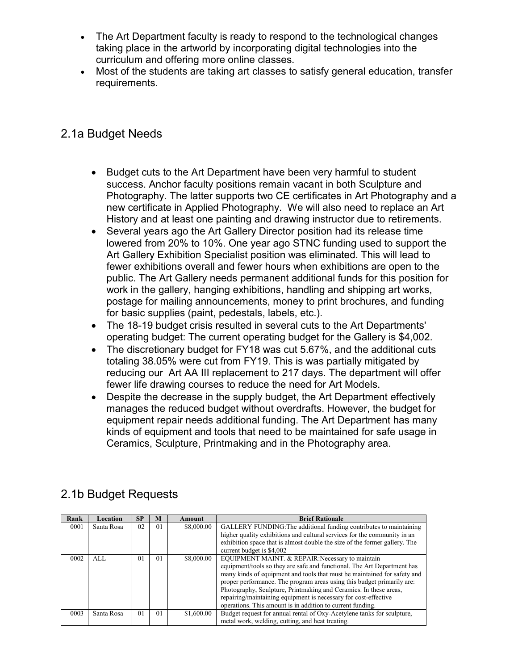- The Art Department faculty is ready to respond to the technological changes taking place in the artworld by incorporating digital technologies into the curriculum and offering more online classes.
- Most of the students are taking art classes to satisfy general education, transfer requirements.

### 2.1a Budget Needs

- Budget cuts to the Art Department have been very harmful to student success. Anchor faculty positions remain vacant in both Sculpture and Photography. The latter supports two CE certificates in Art Photography and a new certificate in Applied Photography. We will also need to replace an Art History and at least one painting and drawing instructor due to retirements.
- Several years ago the Art Gallery Director position had its release time lowered from 20% to 10%. One year ago STNC funding used to support the Art Gallery Exhibition Specialist position was eliminated. This will lead to fewer exhibitions overall and fewer hours when exhibitions are open to the public. The Art Gallery needs permanent additional funds for this position for work in the gallery, hanging exhibitions, handling and shipping art works, postage for mailing announcements, money to print brochures, and funding for basic supplies (paint, pedestals, labels, etc.).
- The 18-19 budget crisis resulted in several cuts to the Art Departments' operating budget: The current operating budget for the Gallery is \$4,002.
- The discretionary budget for FY18 was cut 5.67%, and the additional cuts totaling 38.05% were cut from FY19. This is was partially mitigated by reducing our Art AA III replacement to 217 days. The department will offer fewer life drawing courses to reduce the need for Art Models.
- Despite the decrease in the supply budget, the Art Department effectively manages the reduced budget without overdrafts. However, the budget for equipment repair needs additional funding. The Art Department has many kinds of equipment and tools that need to be maintained for safe usage in Ceramics, Sculpture, Printmaking and in the Photography area.

| Rank | Location   | <b>SP</b>      | M  | Amount     | <b>Brief Rationale</b>                                                     |
|------|------------|----------------|----|------------|----------------------------------------------------------------------------|
| 0001 | Santa Rosa | 02             | 01 | \$8,000.00 | GALLERY FUNDING: The additional funding contributes to maintaining         |
|      |            |                |    |            | higher quality exhibitions and cultural services for the community in an   |
|      |            |                |    |            | exhibition space that is almost double the size of the former gallery. The |
|      |            |                |    |            | current budget is \$4,002                                                  |
| 0002 | AI.        | 0 <sub>1</sub> | 01 | \$8,000.00 | EQUIPMENT MAINT. & REPAIR: Necessary to maintain                           |
|      |            |                |    |            | equipment/tools so they are safe and functional. The Art Department has    |
|      |            |                |    |            | many kinds of equipment and tools that must be maintained for safety and   |
|      |            |                |    |            | proper performance. The program areas using this budget primarily are:     |
|      |            |                |    |            | Photography, Sculpture, Printmaking and Ceramics. In these areas,          |
|      |            |                |    |            | repairing/maintaining equipment is necessary for cost-effective            |
|      |            |                |    |            | operations. This amount is in addition to current funding.                 |
| 0003 | Santa Rosa | 0 <sub>1</sub> | 01 | \$1,600.00 | Budget request for annual rental of Oxy-Acetylene tanks for sculpture,     |
|      |            |                |    |            | metal work, welding, cutting, and heat treating.                           |

## 2.1b Budget Requests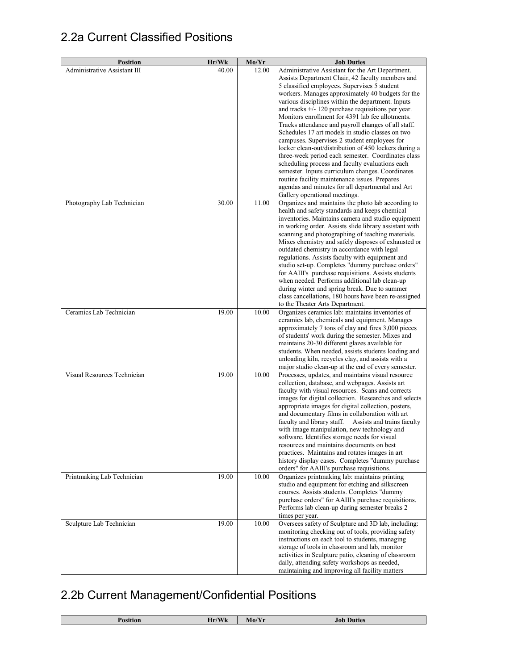# 2.2a Current Classified Positions

| <b>Position</b>              | Hr/Wk | Mo/Yr | <b>Job Duties</b>                                                                                    |
|------------------------------|-------|-------|------------------------------------------------------------------------------------------------------|
| Administrative Assistant III | 40.00 | 12.00 | Administrative Assistant for the Art Department.                                                     |
|                              |       |       | Assists Department Chair, 42 faculty members and                                                     |
|                              |       |       | 5 classified employees. Supervises 5 student                                                         |
|                              |       |       | workers. Manages approximately 40 budgets for the                                                    |
|                              |       |       | various disciplines within the department. Inputs                                                    |
|                              |       |       | and tracks $+/-120$ purchase requisitions per year.                                                  |
|                              |       |       | Monitors enrollment for 4391 lab fee allotments.                                                     |
|                              |       |       | Tracks attendance and payroll changes of all staff.                                                  |
|                              |       |       | Schedules 17 art models in studio classes on two                                                     |
|                              |       |       | campuses. Supervises 2 student employees for                                                         |
|                              |       |       | locker clean-out/distribution of 450 lockers during a                                                |
|                              |       |       | three-week period each semester. Coordinates class                                                   |
|                              |       |       | scheduling process and faculty evaluations each                                                      |
|                              |       |       | semester. Inputs curriculum changes. Coordinates                                                     |
|                              |       |       | routine facility maintenance issues. Prepares<br>agendas and minutes for all departmental and Art    |
|                              |       |       | Gallery operational meetings.                                                                        |
| Photography Lab Technician   | 30.00 | 11.00 | Organizes and maintains the photo lab according to                                                   |
|                              |       |       | health and safety standards and keeps chemical                                                       |
|                              |       |       | inventories. Maintains camera and studio equipment                                                   |
|                              |       |       | in working order. Assists slide library assistant with                                               |
|                              |       |       | scanning and photographing of teaching materials.                                                    |
|                              |       |       | Mixes chemistry and safely disposes of exhausted or                                                  |
|                              |       |       | outdated chemistry in accordance with legal                                                          |
|                              |       |       | regulations. Assists faculty with equipment and                                                      |
|                              |       |       | studio set-up. Completes "dummy purchase orders"                                                     |
|                              |       |       | for AAIII's purchase requisitions. Assists students                                                  |
|                              |       |       | when needed. Performs additional lab clean-up                                                        |
|                              |       |       | during winter and spring break. Due to summer                                                        |
|                              |       |       | class cancellations, 180 hours have been re-assigned                                                 |
|                              |       |       | to the Theater Arts Department.                                                                      |
| Ceramics Lab Technician      | 19.00 | 10.00 | Organizes ceramics lab: maintains inventories of                                                     |
|                              |       |       | ceramics lab, chemicals and equipment. Manages                                                       |
|                              |       |       | approximately 7 tons of clay and fires 3,000 pieces                                                  |
|                              |       |       | of students' work during the semester. Mixes and                                                     |
|                              |       |       | maintains 20-30 different glazes available for                                                       |
|                              |       |       | students. When needed, assists students loading and                                                  |
|                              |       |       | unloading kiln, recycles clay, and assists with a                                                    |
| Visual Resources Technician  |       |       | major studio clean-up at the end of every semester.                                                  |
|                              | 19.00 | 10.00 | Processes, updates, and maintains visual resource                                                    |
|                              |       |       | collection, database, and webpages. Assists art<br>faculty with visual resources. Scans and corrects |
|                              |       |       | images for digital collection. Researches and selects                                                |
|                              |       |       | appropriate images for digital collection, posters,                                                  |
|                              |       |       | and documentary films in collaboration with art                                                      |
|                              |       |       | faculty and library staff.<br>Assists and trains faculty                                             |
|                              |       |       | with image manipulation, new technology and                                                          |
|                              |       |       | software. Identifies storage needs for visual                                                        |
|                              |       |       | resources and maintains documents on best                                                            |
|                              |       |       | practices. Maintains and rotates images in art                                                       |
|                              |       |       | history display cases. Completes "dummy purchase                                                     |
|                              |       |       | orders" for AAIII's purchase requisitions.                                                           |
| Printmaking Lab Technician   | 19.00 | 10.00 | Organizes printmaking lab: maintains printing                                                        |
|                              |       |       | studio and equipment for etching and silkscreen                                                      |
|                              |       |       | courses. Assists students. Completes "dummy                                                          |
|                              |       |       | purchase orders" for AAIII's purchase requisitions.                                                  |
|                              |       |       | Performs lab clean-up during semester breaks 2                                                       |
|                              |       |       | times per year.                                                                                      |
| Sculpture Lab Technician     | 19.00 | 10.00 | Oversees safety of Sculpture and 3D lab, including:                                                  |
|                              |       |       | monitoring checking out of tools, providing safety                                                   |
|                              |       |       | instructions on each tool to students, managing                                                      |
|                              |       |       | storage of tools in classroom and lab, monitor                                                       |
|                              |       |       | activities in Sculpture patio, cleaning of classroom                                                 |
|                              |       |       | daily, attending safety workshops as needed,                                                         |
|                              |       |       | maintaining and improving all facility matters                                                       |

# 2.2b Current Management/Confidential Positions

| ю<br>---- | $T$ $T$<br>-<br>ш<br>VV K | <b>CONTINUES</b><br>. .<br>'VIO/ | 100<br>40<br>.<br>------ |
|-----------|---------------------------|----------------------------------|--------------------------|
|           |                           |                                  |                          |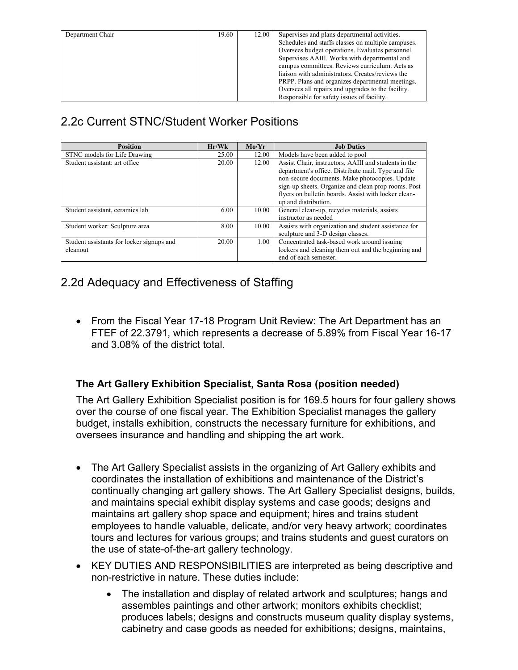| Department Chair | 19.60 | 12.00 | Supervises and plans departmental activities.      |
|------------------|-------|-------|----------------------------------------------------|
|                  |       |       | Schedules and staffs classes on multiple campuses. |
|                  |       |       | Oversees budget operations. Evaluates personnel.   |
|                  |       |       | Supervises AAIII. Works with departmental and      |
|                  |       |       | campus committees. Reviews curriculum. Acts as     |
|                  |       |       | liaison with administrators. Creates/reviews the   |
|                  |       |       | PRPP. Plans and organizes departmental meetings.   |
|                  |       |       | Oversees all repairs and upgrades to the facility. |
|                  |       |       | Responsible for safety issues of facility.         |

# 2.2c Current STNC/Student Worker Positions

| <b>Position</b>                                       | Hr/Wk | Mo/Yr | <b>Job Duties</b>                                                                                                                                                                                                                                                                                    |
|-------------------------------------------------------|-------|-------|------------------------------------------------------------------------------------------------------------------------------------------------------------------------------------------------------------------------------------------------------------------------------------------------------|
| STNC models for Life Drawing                          | 25.00 | 12.00 | Models have been added to pool                                                                                                                                                                                                                                                                       |
| Student assistant: art office                         | 20.00 | 12.00 | Assist Chair, instructors, AAIII and students in the<br>department's office. Distribute mail. Type and file<br>non-secure documents. Make photocopies. Update<br>sign-up sheets. Organize and clean prop rooms. Post<br>flyers on bulletin boards. Assist with locker clean-<br>up and distribution. |
| Student assistant, ceramics lab                       | 6.00  | 10.00 | General clean-up, recycles materials, assists<br>instructor as needed                                                                                                                                                                                                                                |
| Student worker: Sculpture area                        | 8.00  | 10.00 | Assists with organization and student assistance for<br>sculpture and 3-D design classes.                                                                                                                                                                                                            |
| Student assistants for locker signups and<br>cleanout | 20.00 | 1.00  | Concentrated task-based work around issuing<br>lockers and cleaning them out and the beginning and<br>end of each semester.                                                                                                                                                                          |

## 2.2d Adequacy and Effectiveness of Staffing

• From the Fiscal Year 17-18 Program Unit Review: The Art Department has an FTEF of 22.3791, which represents a decrease of 5.89% from Fiscal Year 16-17 and 3.08% of the district total.

#### **The Art Gallery Exhibition Specialist, Santa Rosa (position needed)**

The Art Gallery Exhibition Specialist position is for 169.5 hours for four gallery shows over the course of one fiscal year. The Exhibition Specialist manages the gallery budget, installs exhibition, constructs the necessary furniture for exhibitions, and oversees insurance and handling and shipping the art work.

- The Art Gallery Specialist assists in the organizing of Art Gallery exhibits and coordinates the installation of exhibitions and maintenance of the District's continually changing art gallery shows. The Art Gallery Specialist designs, builds, and maintains special exhibit display systems and case goods; designs and maintains art gallery shop space and equipment; hires and trains student employees to handle valuable, delicate, and/or very heavy artwork; coordinates tours and lectures for various groups; and trains students and guest curators on the use of state-of-the-art gallery technology.
- KEY DUTIES AND RESPONSIBILITIES are interpreted as being descriptive and non-restrictive in nature. These duties include:
	- The installation and display of related artwork and sculptures; hangs and assembles paintings and other artwork; monitors exhibits checklist; produces labels; designs and constructs museum quality display systems, cabinetry and case goods as needed for exhibitions; designs, maintains,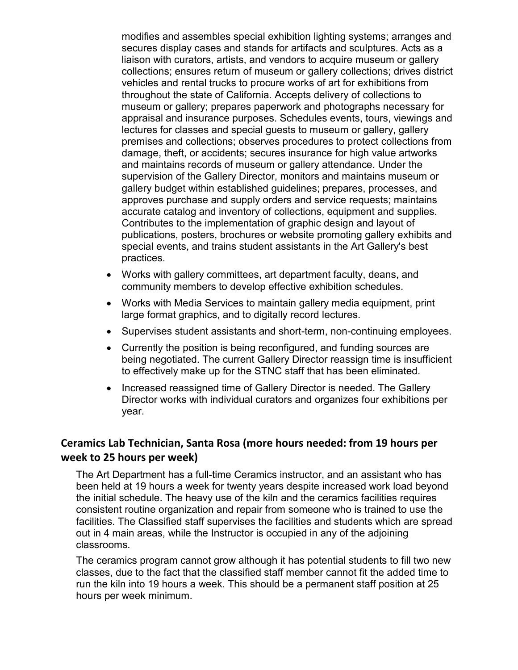modifies and assembles special exhibition lighting systems; arranges and secures display cases and stands for artifacts and sculptures. Acts as a liaison with curators, artists, and vendors to acquire museum or gallery collections; ensures return of museum or gallery collections; drives district vehicles and rental trucks to procure works of art for exhibitions from throughout the state of California. Accepts delivery of collections to museum or gallery; prepares paperwork and photographs necessary for appraisal and insurance purposes. Schedules events, tours, viewings and lectures for classes and special guests to museum or gallery, gallery premises and collections; observes procedures to protect collections from damage, theft, or accidents; secures insurance for high value artworks and maintains records of museum or gallery attendance. Under the supervision of the Gallery Director, monitors and maintains museum or gallery budget within established guidelines; prepares, processes, and approves purchase and supply orders and service requests; maintains accurate catalog and inventory of collections, equipment and supplies. Contributes to the implementation of graphic design and layout of publications, posters, brochures or website promoting gallery exhibits and special events, and trains student assistants in the Art Gallery's best practices.

- Works with gallery committees, art department faculty, deans, and community members to develop effective exhibition schedules.
- Works with Media Services to maintain gallery media equipment, print large format graphics, and to digitally record lectures.
- Supervises student assistants and short-term, non-continuing employees.
- Currently the position is being reconfigured, and funding sources are being negotiated. The current Gallery Director reassign time is insufficient to effectively make up for the STNC staff that has been eliminated.
- Increased reassigned time of Gallery Director is needed. The Gallery Director works with individual curators and organizes four exhibitions per year.

#### **Ceramics Lab Technician, Santa Rosa (more hours needed: from 19 hours per week to 25 hours per week)**

The Art Department has a full-time Ceramics instructor, and an assistant who has been held at 19 hours a week for twenty years despite increased work load beyond the initial schedule. The heavy use of the kiln and the ceramics facilities requires consistent routine organization and repair from someone who is trained to use the facilities. The Classified staff supervises the facilities and students which are spread out in 4 main areas, while the Instructor is occupied in any of the adjoining classrooms.

The ceramics program cannot grow although it has potential students to fill two new classes, due to the fact that the classified staff member cannot fit the added time to run the kiln into 19 hours a week. This should be a permanent staff position at 25 hours per week minimum.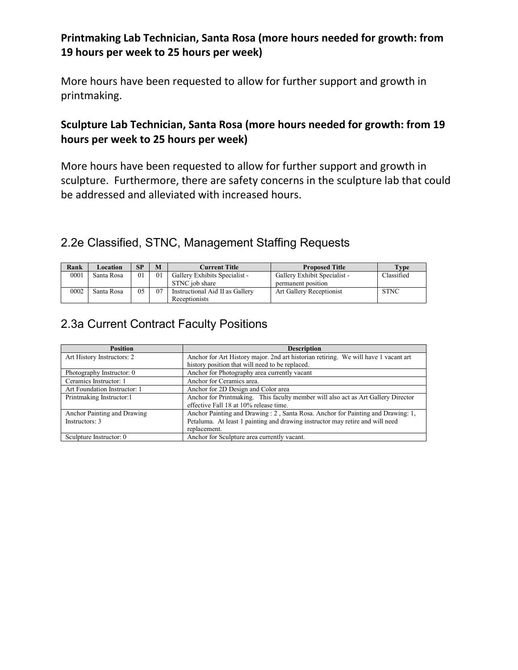### **Printmaking Lab Technician, Santa Rosa (more hours needed for growth: from 19 hours per week to 25 hours per week)**

More hours have been requested to allow for further support and growth in printmaking.

### **Sculpture Lab Technician, Santa Rosa (more hours needed for growth: from 19 hours per week to 25 hours per week)**

More hours have been requested to allow for further support and growth in sculpture. Furthermore, there are safety concerns in the sculpture lab that could be addressed and alleviated with increased hours.

## 2.2e Classified, STNC, Management Staffing Requests

| Rank | Location   | SP | M              | Current Title                                    | <b>Proposed Title</b>                              | Type        |
|------|------------|----|----------------|--------------------------------------------------|----------------------------------------------------|-------------|
| 0001 | Santa Rosa | 01 | 0 <sub>1</sub> | Gallery Exhibits Specialist -<br>STNC job share  | Gallery Exhibit Specialist -<br>permanent position | Classified  |
| 0002 | Santa Rosa | 05 | 07             | Instructional Aid II as Gallery<br>Receptionists | Art Gallery Receptionist                           | <b>STNC</b> |

## 2.3a Current Contract Faculty Positions

| <b>Position</b>              | <b>Description</b>                                                                  |
|------------------------------|-------------------------------------------------------------------------------------|
| Art History Instructors: 2   | Anchor for Art History major. 2nd art historian retiring. We will have 1 vacant art |
|                              | history position that will need to be replaced.                                     |
| Photography Instructor: 0    | Anchor for Photography area currently vacant                                        |
| Ceramics Instructor: 1       | Anchor for Ceramics area.                                                           |
| Art Foundation Instructor: 1 | Anchor for 2D Design and Color area                                                 |
| Printmaking Instructor:1     | Anchor for Printmaking. This faculty member will also act as Art Gallery Director   |
|                              | effective Fall 18 at 10% release time.                                              |
| Anchor Painting and Drawing  | Anchor Painting and Drawing: 2, Santa Rosa. Anchor for Painting and Drawing: 1,     |
| Instructors: 3               | Petaluma. At least 1 painting and drawing instructor may retire and will need       |
|                              | replacement.                                                                        |
| Sculpture Instructor: 0      | Anchor for Sculpture area currently vacant.                                         |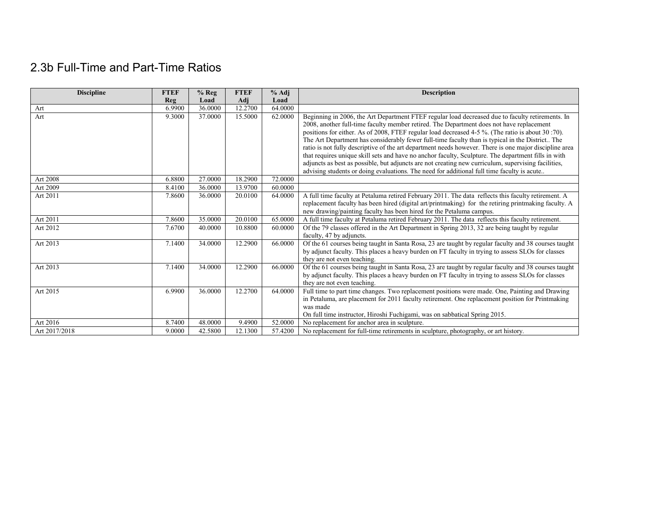# 2.3b Full-Time and Part-Time Ratios

| <b>Discipline</b> | <b>FTEF</b> | $%$ Reg | <b>FTEF</b> | $%$ Adj | <b>Description</b>                                                                                                                                                                                        |
|-------------------|-------------|---------|-------------|---------|-----------------------------------------------------------------------------------------------------------------------------------------------------------------------------------------------------------|
|                   | Reg         | Load    | Adj         | Load    |                                                                                                                                                                                                           |
| Art               | 6.9900      | 36.0000 | 12.2700     | 64.0000 |                                                                                                                                                                                                           |
| Art               | 9.3000      | 37.0000 | 15.5000     | 62.0000 | Beginning in 2006, the Art Department FTEF regular load decreased due to faculty retirements. In                                                                                                          |
|                   |             |         |             |         | 2008, another full-time faculty member retired. The Department does not have replacement                                                                                                                  |
|                   |             |         |             |         | positions for either. As of 2008, FTEF regular load decreased 4-5 %. (The ratio is about 30 :70).                                                                                                         |
|                   |             |         |             |         | The Art Department has considerably fewer full-time faculty than is typical in the District The<br>ratio is not fully descriptive of the art department needs however. There is one major discipline area |
|                   |             |         |             |         | that requires unique skill sets and have no anchor faculty, Sculpture. The department fills in with                                                                                                       |
|                   |             |         |             |         | adjuncts as best as possible, but adjuncts are not creating new curriculum, supervising facilities,                                                                                                       |
|                   |             |         |             |         | advising students or doing evaluations. The need for additional full time faculty is acute                                                                                                                |
| Art 2008          | 6.8800      | 27,0000 | 18.2900     | 72,0000 |                                                                                                                                                                                                           |
| Art 2009          | 8.4100      | 36,0000 | 13.9700     | 60,0000 |                                                                                                                                                                                                           |
| Art 2011          | 7.8600      | 36,0000 | 20.0100     | 64.0000 | A full time faculty at Petaluma retired February 2011. The data reflects this faculty retirement. A                                                                                                       |
|                   |             |         |             |         | replacement faculty has been hired (digital art/printmaking) for the retiring printmaking faculty. A                                                                                                      |
|                   |             |         |             |         | new drawing/painting faculty has been hired for the Petaluma campus.                                                                                                                                      |
| Art 2011          | 7.8600      | 35,0000 | 20.0100     | 65,0000 | A full time faculty at Petaluma retired February 2011. The data reflects this faculty retirement.                                                                                                         |
| Art 2012          | 7.6700      | 40,0000 | 10.8800     | 60,0000 | Of the 79 classes offered in the Art Department in Spring 2013, 32 are being taught by regular                                                                                                            |
|                   |             |         |             |         | faculty, 47 by adjuncts.                                                                                                                                                                                  |
| Art 2013          | 7.1400      | 34.0000 | 12.2900     | 66.0000 | Of the 61 courses being taught in Santa Rosa, 23 are taught by regular faculty and 38 courses taught                                                                                                      |
|                   |             |         |             |         | by adjunct faculty. This places a heavy burden on FT faculty in trying to assess SLOs for classes                                                                                                         |
|                   |             |         |             |         | they are not even teaching.                                                                                                                                                                               |
| Art 2013          | 7.1400      | 34.0000 | 12.2900     | 66.0000 | Of the 61 courses being taught in Santa Rosa, 23 are taught by regular faculty and 38 courses taught                                                                                                      |
|                   |             |         |             |         | by adjunct faculty. This places a heavy burden on FT faculty in trying to assess SLOs for classes<br>they are not even teaching.                                                                          |
| Art 2015          | 6.9900      | 36.0000 | 12.2700     | 64.0000 | Full time to part time changes. Two replacement positions were made. One, Painting and Drawing                                                                                                            |
|                   |             |         |             |         | in Petaluma, are placement for 2011 faculty retirement. One replacement position for Printmaking                                                                                                          |
|                   |             |         |             |         | was made                                                                                                                                                                                                  |
|                   |             |         |             |         | On full time instructor, Hiroshi Fuchigami, was on sabbatical Spring 2015.                                                                                                                                |
| Art 2016          | 8.7400      | 48.0000 | 9.4900      | 52.0000 | No replacement for anchor area in sculpture.                                                                                                                                                              |
| Art 2017/2018     | 9.0000      | 42.5800 | 12.1300     | 57.4200 | No replacement for full-time retirements in sculpture, photography, or art history.                                                                                                                       |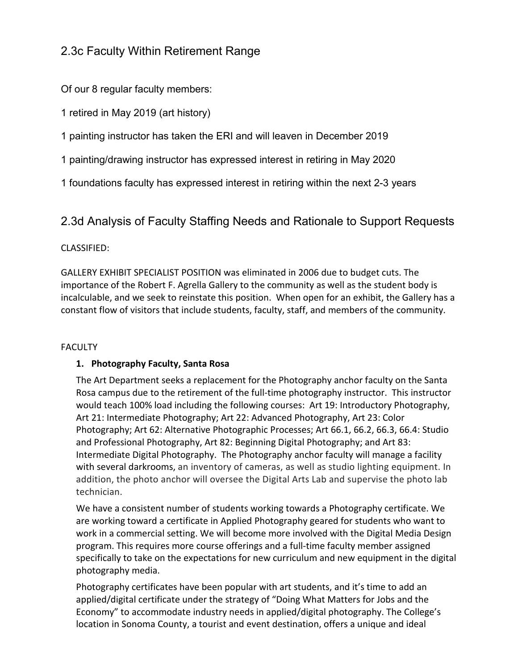## 2.3c Faculty Within Retirement Range

Of our 8 regular faculty members:

1 retired in May 2019 (art history)

1 painting instructor has taken the ERI and will leaven in December 2019

1 painting/drawing instructor has expressed interest in retiring in May 2020

1 foundations faculty has expressed interest in retiring within the next 2-3 years

### 2.3d Analysis of Faculty Staffing Needs and Rationale to Support Requests

#### CLASSIFIED:

GALLERY EXHIBIT SPECIALIST POSITION was eliminated in 2006 due to budget cuts. The importance of the Robert F. Agrella Gallery to the community as well as the student body is incalculable, and we seek to reinstate this position. When open for an exhibit, the Gallery has a constant flow of visitors that include students, faculty, staff, and members of the community.

#### **FACULTY**

#### **1. Photography Faculty, Santa Rosa**

The Art Department seeks a replacement for the Photography anchor faculty on the Santa Rosa campus due to the retirement of the full-time photography instructor. This instructor would teach 100% load including the following courses: Art 19: Introductory Photography, Art 21: Intermediate Photography; Art 22: Advanced Photography, Art 23: Color Photography; Art 62: Alternative Photographic Processes; Art 66.1, 66.2, 66.3, 66.4: Studio and Professional Photography, Art 82: Beginning Digital Photography; and Art 83: Intermediate Digital Photography. The Photography anchor faculty will manage a facility with several darkrooms, an inventory of cameras, as well as studio lighting equipment. In addition, the photo anchor will oversee the Digital Arts Lab and supervise the photo lab technician.

We have a consistent number of students working towards a Photography certificate. We are working toward a certificate in Applied Photography geared for students who want to work in a commercial setting. We will become more involved with the Digital Media Design program. This requires more course offerings and a full-time faculty member assigned specifically to take on the expectations for new curriculum and new equipment in the digital photography media.

Photography certificates have been popular with art students, and it's time to add an applied/digital certificate under the strategy of "Doing What Matters for Jobs and the Economy" to accommodate industry needs in applied/digital photography. The College's location in Sonoma County, a tourist and event destination, offers a unique and ideal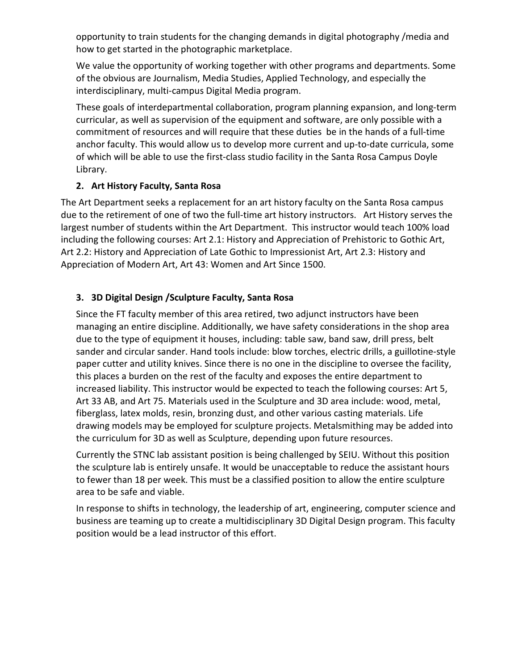opportunity to train students for the changing demands in digital photography /media and how to get started in the photographic marketplace.

We value the opportunity of working together with other programs and departments. Some of the obvious are Journalism, Media Studies, Applied Technology, and especially the interdisciplinary, multi-campus Digital Media program.

These goals of interdepartmental collaboration, program planning expansion, and long-term curricular, as well as supervision of the equipment and software, are only possible with a commitment of resources and will require that these duties be in the hands of a full-time anchor faculty. This would allow us to develop more current and up-to-date curricula, some of which will be able to use the first-class studio facility in the Santa Rosa Campus Doyle Library.

#### **2. Art History Faculty, Santa Rosa**

The Art Department seeks a replacement for an art history faculty on the Santa Rosa campus due to the retirement of one of two the full-time art history instructors. Art History serves the largest number of students within the Art Department. This instructor would teach 100% load including the following courses: Art 2.1: History and Appreciation of Prehistoric to Gothic Art, Art 2.2: History and Appreciation of Late Gothic to Impressionist Art, Art 2.3: History and Appreciation of Modern Art, Art 43: Women and Art Since 1500.

#### **3. 3D Digital Design /Sculpture Faculty, Santa Rosa**

Since the FT faculty member of this area retired, two adjunct instructors have been managing an entire discipline. Additionally, we have safety considerations in the shop area due to the type of equipment it houses, including: table saw, band saw, drill press, belt sander and circular sander. Hand tools include: blow torches, electric drills, a guillotine-style paper cutter and utility knives. Since there is no one in the discipline to oversee the facility, this places a burden on the rest of the faculty and exposes the entire department to increased liability. This instructor would be expected to teach the following courses: Art 5, Art 33 AB, and Art 75. Materials used in the Sculpture and 3D area include: wood, metal, fiberglass, latex molds, resin, bronzing dust, and other various casting materials. Life drawing models may be employed for sculpture projects. Metalsmithing may be added into the curriculum for 3D as well as Sculpture, depending upon future resources.

Currently the STNC lab assistant position is being challenged by SEIU. Without this position the sculpture lab is entirely unsafe. It would be unacceptable to reduce the assistant hours to fewer than 18 per week. This must be a classified position to allow the entire sculpture area to be safe and viable.

In response to shifts in technology, the leadership of art, engineering, computer science and business are teaming up to create a multidisciplinary 3D Digital Design program. This faculty position would be a lead instructor of this effort.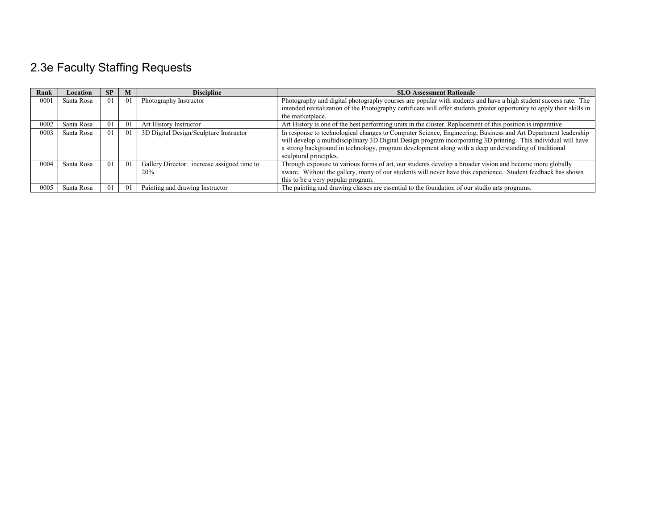# 2.3e Faculty Staffing Requests

| Rank | Location   | <b>SP</b> | M  | <b>Discipline</b>                                         | <b>SLO Assessment Rationale</b>                                                                                                                                                                                                                                                                                                                                     |
|------|------------|-----------|----|-----------------------------------------------------------|---------------------------------------------------------------------------------------------------------------------------------------------------------------------------------------------------------------------------------------------------------------------------------------------------------------------------------------------------------------------|
| 000  | Santa Rosa | $\Omega$  | 01 | Photography Instructor                                    | Photography and digital photography courses are popular with students and have a high student success rate. The                                                                                                                                                                                                                                                     |
|      |            |           |    |                                                           | intended revitalization of the Photography certificate will offer students greater opportunity to apply their skills in                                                                                                                                                                                                                                             |
|      |            |           |    |                                                           | the marketplace.                                                                                                                                                                                                                                                                                                                                                    |
| 0002 | Santa Rosa | $\theta$  | 01 | Art History Instructor                                    | Art History is one of the best performing units in the cluster. Replacement of this position is imperative                                                                                                                                                                                                                                                          |
| 0003 | Santa Rosa | $\Omega$  | 01 | 3D Digital Design/Sculpture Instructor                    | In response to technological changes to Computer Science, Engineering, Business and Art Department leadership<br>will develop a multidisciplinary 3D Digital Design program incorporating 3D printing. This individual will have<br>a strong background in technology, program development along with a deep understanding of traditional<br>sculptural principles. |
| 0004 | Santa Rosa | 01        | 01 | Gallery Director: increase assigned time to<br><b>20%</b> | Through exposure to various forms of art, our students develop a broader vision and become more globally<br>aware. Without the gallery, many of our students will never have this experience. Student feedback has shown<br>this to be a very popular program.                                                                                                      |
| 0005 | Santa Rosa | 01        | 01 | Painting and drawing Instructor                           | The painting and drawing classes are essential to the foundation of our studio arts programs.                                                                                                                                                                                                                                                                       |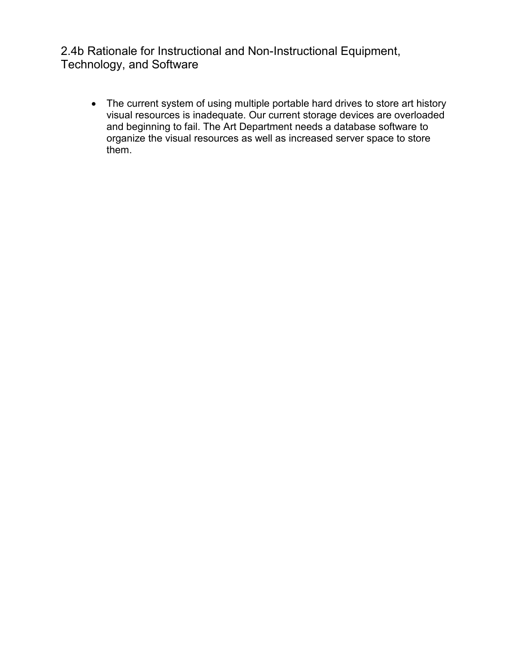2.4b Rationale for Instructional and Non-Instructional Equipment, Technology, and Software

• The current system of using multiple portable hard drives to store art history visual resources is inadequate. Our current storage devices are overloaded and beginning to fail. The Art Department needs a database software to organize the visual resources as well as increased server space to store them.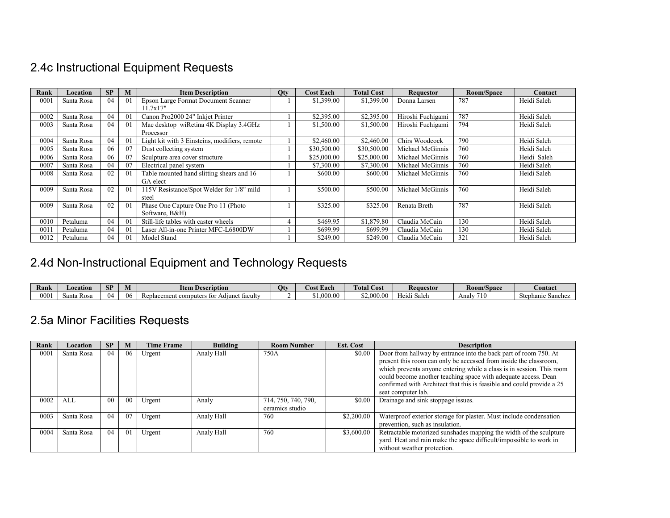# 2.4c Instructional Equipment Requests

| Rank    | Location   | SP | M              | <b>Item Description</b>                       | <b>Qty</b> | <b>Cost Each</b> | <b>Total Cost</b> | <b>Requestor</b>  | Room/Space | Contact     |
|---------|------------|----|----------------|-----------------------------------------------|------------|------------------|-------------------|-------------------|------------|-------------|
| $000\,$ | Santa Rosa | 04 | 0 <sup>1</sup> | Epson Large Format Document Scanner           |            | \$1,399.00       | \$1,399.00        | Donna Larsen      | 787        | Heidi Saleh |
|         |            |    |                | 11.7x17"                                      |            |                  |                   |                   |            |             |
| 0002    | Santa Rosa | 04 | 0 <sup>1</sup> | Canon Pro2000 24" Inkjet Printer              |            | \$2,395.00       | \$2,395.00        | Hiroshi Fuchigami | 787        | Heidi Saleh |
| 0003    | Santa Rosa | 04 | 0 <sup>1</sup> | Mac desktop wiRetina 4K Display 3.4GHz        |            | \$1,500.00       | \$1,500.00        | Hiroshi Fuchigami | 794        | Heidi Saleh |
|         |            |    |                | Processor                                     |            |                  |                   |                   |            |             |
| 0004    | Santa Rosa | 04 | 0 <sup>1</sup> | Light kit with 3 Einsteins, modifiers, remote |            | \$2,460.00       | \$2,460.00        | Chirs Woodcock    | 790        | Heidi Saleh |
| 0005    | Santa Rosa | 06 | 07             | Dust collecting system                        |            | \$30,500.00      | \$30,500.00       | Michael McGinnis  | 760        | Heidi Saleh |
| 0006    | Santa Rosa | 06 | 07             | Sculpture area cover structure                |            | \$25,000.00      | \$25,000.00       | Michael McGinnis  | 760        | Heidi Saleh |
| 0007    | Santa Rosa | 04 | 07             | Electrical panel system                       |            | \$7,300.00       | \$7,300.00        | Michael McGinnis  | 760        | Heidi Saleh |
| 0008    | Santa Rosa | 02 | 0 <sup>1</sup> | Table mounted hand slitting shears and 16     |            | \$600.00         | \$600.00          | Michael McGinnis  | 760        | Heidi Saleh |
|         |            |    |                | GA elect                                      |            |                  |                   |                   |            |             |
| 0009    | Santa Rosa | 02 | $\overline{0}$ | 115V Resistance/Spot Welder for 1/8" mild     |            | \$500.00         | \$500.00          | Michael McGinnis  | 760        | Heidi Saleh |
|         |            |    |                | steel                                         |            |                  |                   |                   |            |             |
| 0009    | Santa Rosa | 02 | 0 <sup>1</sup> | Phase One Capture One Pro 11 (Photo)          |            | \$325.00         | \$325.00          | Renata Breth      | 787        | Heidi Saleh |
|         |            |    |                | Software, B&H)                                |            |                  |                   |                   |            |             |
| 0010    | Petaluma   | 04 | 0 <sup>1</sup> | Still-life tables with caster wheels          |            | \$469.95         | \$1,879.80        | Claudia McCain    | 130        | Heidi Saleh |
| 0011    | Petaluma   | 04 | $\overline{0}$ | Laser All-in-one Printer MFC-L6800DW          |            | \$699.99         | \$699.99          | Claudia McCain    | 130        | Heidi Saleh |
| 0012    | Petaluma   | 04 | $\Omega$       | Model Stand                                   |            | \$249.00         | \$249.00          | Claudia McCain    | 321        | Heidi Saleh |

# 2.4d Non-Instructional Equipment and Technology Requests

| Rank | Location     | CD<br>D.  | IVI | <b>Item Description</b>                                           | Otv | tost Each                              | m.<br>$\mathbf{r}$<br>otal<br>`ost | Requestor                                | <b>Room/Space</b> | <b>Contact</b>                   |
|------|--------------|-----------|-----|-------------------------------------------------------------------|-----|----------------------------------------|------------------------------------|------------------------------------------|-------------------|----------------------------------|
| 0001 | anta<br>-Ros | $^{(14)}$ | 06  | . .<br>D.<br>omputers<br>$\sim$<br>: facult<br>Adıur<br>$+ -$<br> |     | $\sim$<br>0 <sup>0</sup><br>,v.vv<br>. | 00 <sup>c</sup><br>0.00            | --<br>$\mathbf{1}$ $\sim$<br>teidi Saleh | 710<br>Analv      | ahant.<br>e Sanchez<br>лы<br>ັບບ |

# 2.5a Minor Facilities Requests

| Rank | Location   | <b>SP</b>      | M  | <b>Time Frame</b> | <b>Building</b> | <b>Room Number</b>  | Est. Cost  | <b>Description</b>                                                    |
|------|------------|----------------|----|-------------------|-----------------|---------------------|------------|-----------------------------------------------------------------------|
| 0001 | Santa Rosa | 04             | 06 | Urgent            | Analy Hall      | 750A                | \$0.00     | Door from hallway by entrance into the back part of room 750. At      |
|      |            |                |    |                   |                 |                     |            | present this room can only be accessed from inside the classroom,     |
|      |            |                |    |                   |                 |                     |            | which prevents anyone entering while a class is in session. This room |
|      |            |                |    |                   |                 |                     |            | could become another teaching space with adequate access. Dean        |
|      |            |                |    |                   |                 |                     |            | confirmed with Architect that this is feasible and could provide a 25 |
|      |            |                |    |                   |                 |                     |            | seat computer lab.                                                    |
| 0002 | ALL        | 0 <sup>0</sup> | 00 | Urgent            | Analy           | 714, 750, 740, 790, | \$0.00     | Drainage and sink stoppage issues.                                    |
|      |            |                |    |                   |                 | ceramics studio     |            |                                                                       |
| 0003 | Santa Rosa | 04             | 07 | Urgent            | Analy Hall      | 760                 | \$2,200.00 | Waterproof exterior storage for plaster. Must include condensation    |
|      |            |                |    |                   |                 |                     |            | prevention, such as insulation.                                       |
| 0004 | Santa Rosa | 04             | 01 | Urgent            | Analy Hall      | 760                 | \$3,600.00 | Retractable motorized sunshades mapping the width of the sculpture    |
|      |            |                |    |                   |                 |                     |            | yard. Heat and rain make the space difficult/impossible to work in    |
|      |            |                |    |                   |                 |                     |            | without weather protection.                                           |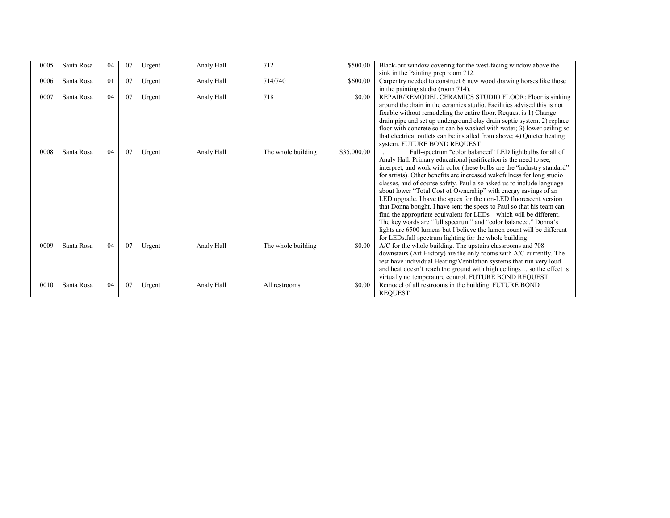| 0005 | Santa Rosa | 04 | 07 | Urgent | Analy Hall | 712                | \$500.00    | Black-out window covering for the west-facing window above the<br>sink in the Painting prep room 712.                                                                                                                                                                                                                                                                                                                                                                                                                                                                                                                                                                                                                                                                                                                                                      |
|------|------------|----|----|--------|------------|--------------------|-------------|------------------------------------------------------------------------------------------------------------------------------------------------------------------------------------------------------------------------------------------------------------------------------------------------------------------------------------------------------------------------------------------------------------------------------------------------------------------------------------------------------------------------------------------------------------------------------------------------------------------------------------------------------------------------------------------------------------------------------------------------------------------------------------------------------------------------------------------------------------|
| 0006 | Santa Rosa | 01 | 07 | Urgent | Analy Hall | 714/740            | \$600.00    | Carpentry needed to construct 6 new wood drawing horses like those<br>in the painting studio (room 714).                                                                                                                                                                                                                                                                                                                                                                                                                                                                                                                                                                                                                                                                                                                                                   |
| 0007 | Santa Rosa | 04 | 07 | Urgent | Analy Hall | 718                | \$0.00      | REPAIR/REMODEL CERAMICS STUDIO FLOOR: Floor is sinking<br>around the drain in the ceramics studio. Facilities advised this is not<br>fixable without remodeling the entire floor. Request is 1) Change<br>drain pipe and set up underground clay drain septic system. 2) replace<br>floor with concrete so it can be washed with water; 3) lower ceiling so<br>that electrical outlets can be installed from above; 4) Quieter heating<br>system. FUTURE BOND REQUEST                                                                                                                                                                                                                                                                                                                                                                                      |
| 0008 | Santa Rosa | 04 | 07 | Urgent | Analy Hall | The whole building | \$35,000.00 | Full-spectrum "color balanced" LED lightbulbs for all of<br>Analy Hall. Primary educational justification is the need to see,<br>interpret, and work with color (these bulbs are the "industry standard"<br>for artists). Other benefits are increased wakefulness for long studio<br>classes, and of course safety. Paul also asked us to include language<br>about lower "Total Cost of Ownership" with energy savings of an<br>LED upgrade. I have the specs for the non-LED fluorescent version<br>that Donna bought. I have sent the specs to Paul so that his team can<br>find the appropriate equivalent for LEDs – which will be different.<br>The key words are "full spectrum" and "color balanced." Donna's<br>lights are 6500 lumens but I believe the lumen count will be different<br>for LEDs full spectrum lighting for the whole building |
| 0009 | Santa Rosa | 04 | 07 | Urgent | Analy Hall | The whole building | \$0.00      | A/C for the whole building. The upstairs classrooms and 708<br>downstairs (Art History) are the only rooms with A/C currently. The<br>rest have individual Heating/Ventilation systems that run very loud<br>and heat doesn't reach the ground with high ceilings so the effect is<br>virtually no temperature control. FUTURE BOND REQUEST                                                                                                                                                                                                                                                                                                                                                                                                                                                                                                                |
| 0010 | Santa Rosa | 04 | 07 | Urgent | Analy Hall | All restrooms      | \$0.00      | Remodel of all restrooms in the building. FUTURE BOND<br><b>REQUEST</b>                                                                                                                                                                                                                                                                                                                                                                                                                                                                                                                                                                                                                                                                                                                                                                                    |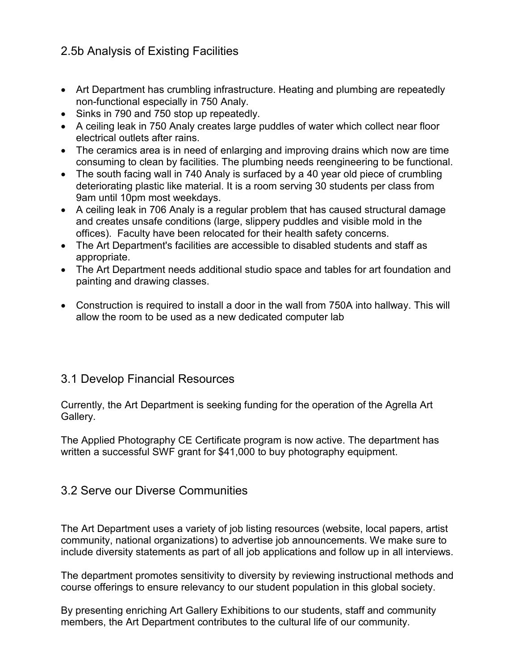## 2.5b Analysis of Existing Facilities

- Art Department has crumbling infrastructure. Heating and plumbing are repeatedly non-functional especially in 750 Analy.
- Sinks in 790 and 750 stop up repeatedly.
- A ceiling leak in 750 Analy creates large puddles of water which collect near floor electrical outlets after rains.
- The ceramics area is in need of enlarging and improving drains which now are time consuming to clean by facilities. The plumbing needs reengineering to be functional.
- The south facing wall in 740 Analy is surfaced by a 40 year old piece of crumbling deteriorating plastic like material. It is a room serving 30 students per class from 9am until 10pm most weekdays.
- A ceiling leak in 706 Analy is a regular problem that has caused structural damage and creates unsafe conditions (large, slippery puddles and visible mold in the offices). Faculty have been relocated for their health safety concerns.
- The Art Department's facilities are accessible to disabled students and staff as appropriate.
- The Art Department needs additional studio space and tables for art foundation and painting and drawing classes.
- Construction is required to install a door in the wall from 750A into hallway. This will allow the room to be used as a new dedicated computer lab

### 3.1 Develop Financial Resources

Currently, the Art Department is seeking funding for the operation of the Agrella Art Gallery.

The Applied Photography CE Certificate program is now active. The department has written a successful SWF grant for \$41,000 to buy photography equipment.

### 3.2 Serve our Diverse Communities

The Art Department uses a variety of job listing resources (website, local papers, artist community, national organizations) to advertise job announcements. We make sure to include diversity statements as part of all job applications and follow up in all interviews.

The department promotes sensitivity to diversity by reviewing instructional methods and course offerings to ensure relevancy to our student population in this global society.

By presenting enriching Art Gallery Exhibitions to our students, staff and community members, the Art Department contributes to the cultural life of our community.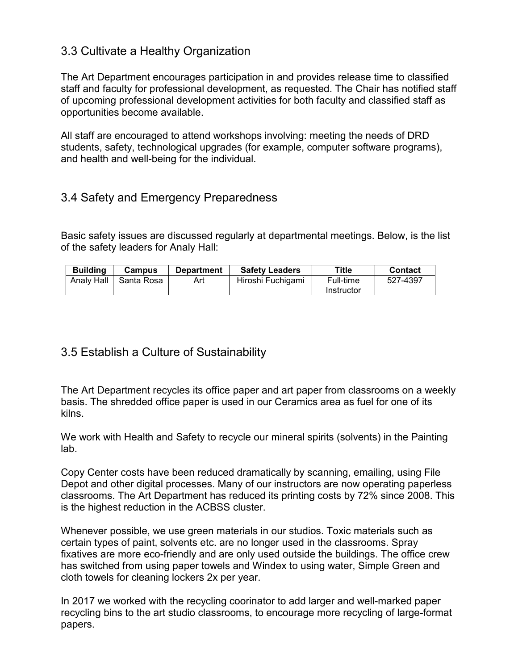### 3.3 Cultivate a Healthy Organization

The Art Department encourages participation in and provides release time to classified staff and faculty for professional development, as requested. The Chair has notified staff of upcoming professional development activities for both faculty and classified staff as opportunities become available.

All staff are encouraged to attend workshops involving: meeting the needs of DRD students, safety, technological upgrades (for example, computer software programs), and health and well-being for the individual.

### 3.4 Safety and Emergency Preparedness

Basic safety issues are discussed regularly at departmental meetings. Below, is the list of the safety leaders for Analy Hall:

| <b>Building</b> | <b>Campus</b> | <b>Department</b> | <b>Safety Leaders</b> | Title      | <b>Contact</b> |
|-----------------|---------------|-------------------|-----------------------|------------|----------------|
| Analy Hall      | Santa Rosa    | Art               | Hiroshi Fuchigami     | Full-time  | 527-4397       |
|                 |               |                   |                       | Instructor |                |

#### 3.5 Establish a Culture of Sustainability

The Art Department recycles its office paper and art paper from classrooms on a weekly basis. The shredded office paper is used in our Ceramics area as fuel for one of its kilns.

We work with Health and Safety to recycle our mineral spirits (solvents) in the Painting lab.

Copy Center costs have been reduced dramatically by scanning, emailing, using File Depot and other digital processes. Many of our instructors are now operating paperless classrooms. The Art Department has reduced its printing costs by 72% since 2008. This is the highest reduction in the ACBSS cluster.

Whenever possible, we use green materials in our studios. Toxic materials such as certain types of paint, solvents etc. are no longer used in the classrooms. Spray fixatives are more eco-friendly and are only used outside the buildings. The office crew has switched from using paper towels and Windex to using water, Simple Green and cloth towels for cleaning lockers 2x per year.

In 2017 we worked with the recycling coorinator to add larger and well-marked paper recycling bins to the art studio classrooms, to encourage more recycling of large-format papers.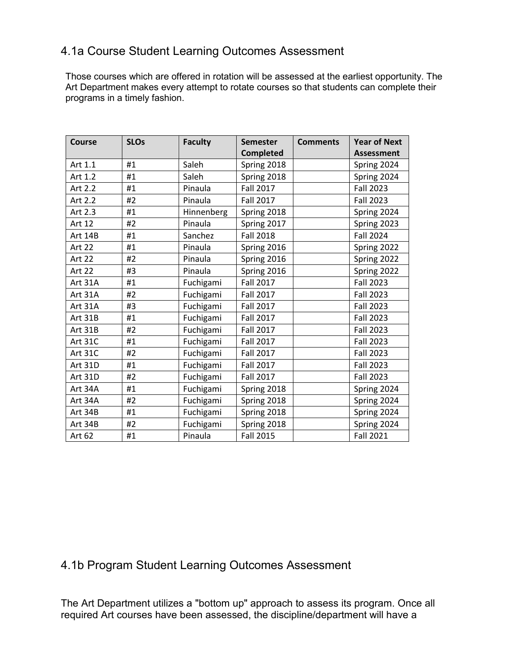### 4.1a Course Student Learning Outcomes Assessment

Those courses which are offered in rotation will be assessed at the earliest opportunity. The Art Department makes every attempt to rotate courses so that students can complete their programs in a timely fashion.

| <b>Course</b> | <b>SLOs</b> | <b>Faculty</b> | <b>Semester</b>  | <b>Comments</b> | <b>Year of Next</b> |
|---------------|-------------|----------------|------------------|-----------------|---------------------|
|               |             |                | <b>Completed</b> |                 | <b>Assessment</b>   |
| Art 1.1       | #1          | Saleh          | Spring 2018      |                 | Spring 2024         |
| Art 1.2       | #1          | Saleh          | Spring 2018      |                 | Spring 2024         |
| Art 2.2       | #1          | Pinaula        | <b>Fall 2017</b> |                 | <b>Fall 2023</b>    |
| Art 2.2       | #2          | Pinaula        | <b>Fall 2017</b> |                 | <b>Fall 2023</b>    |
| Art 2.3       | #1          | Hinnenberg     | Spring 2018      |                 | Spring 2024         |
| Art 12        | #2          | Pinaula        | Spring 2017      |                 | Spring 2023         |
| Art 14B       | #1          | Sanchez        | <b>Fall 2018</b> |                 | <b>Fall 2024</b>    |
| <b>Art 22</b> | #1          | Pinaula        | Spring 2016      |                 | Spring 2022         |
| Art 22        | #2          | Pinaula        | Spring 2016      |                 | Spring 2022         |
| <b>Art 22</b> | #3          | Pinaula        | Spring 2016      |                 | Spring 2022         |
| Art 31A       | #1          | Fuchigami      | <b>Fall 2017</b> |                 | <b>Fall 2023</b>    |
| Art 31A       | #2          | Fuchigami      | <b>Fall 2017</b> |                 | <b>Fall 2023</b>    |
| Art 31A       | #3          | Fuchigami      | <b>Fall 2017</b> |                 | <b>Fall 2023</b>    |
| Art 31B       | #1          | Fuchigami      | <b>Fall 2017</b> |                 | <b>Fall 2023</b>    |
| Art 31B       | #2          | Fuchigami      | <b>Fall 2017</b> |                 | <b>Fall 2023</b>    |
| Art 31C       | #1          | Fuchigami      | <b>Fall 2017</b> |                 | <b>Fall 2023</b>    |
| Art 31C       | #2          | Fuchigami      | <b>Fall 2017</b> |                 | <b>Fall 2023</b>    |
| Art 31D       | #1          | Fuchigami      | <b>Fall 2017</b> |                 | <b>Fall 2023</b>    |
| Art 31D       | #2          | Fuchigami      | <b>Fall 2017</b> |                 | <b>Fall 2023</b>    |
| Art 34A       | #1          | Fuchigami      | Spring 2018      |                 | Spring 2024         |
| Art 34A       | #2          | Fuchigami      | Spring 2018      |                 | Spring 2024         |
| Art 34B       | #1          | Fuchigami      | Spring 2018      |                 | Spring 2024         |
| Art 34B       | #2          | Fuchigami      | Spring 2018      |                 | Spring 2024         |
| Art 62        | #1          | Pinaula        | <b>Fall 2015</b> |                 | <b>Fall 2021</b>    |

## 4.1b Program Student Learning Outcomes Assessment

The Art Department utilizes a "bottom up" approach to assess its program. Once all required Art courses have been assessed, the discipline/department will have a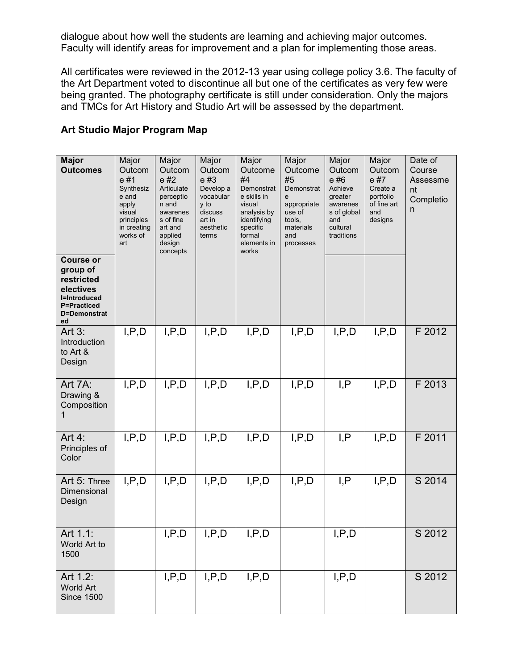dialogue about how well the students are learning and achieving major outcomes. Faculty will identify areas for improvement and a plan for implementing those areas.

All certificates were reviewed in the 2012-13 year using college policy 3.6. The faculty of the Art Department voted to discontinue all but one of the certificates as very few were being granted. The photography certificate is still under consideration. Only the majors and TMCs for Art History and Studio Art will be assessed by the department.

| <b>Major</b><br><b>Outcomes</b><br><b>Course or</b><br>group of<br>restricted<br>electives<br><b>I=Introduced</b><br><b>P=Practiced</b><br>D=Demonstrat<br>ed | Major<br>Outcom<br>e#1<br>Synthesiz<br>e and<br>apply<br>visual<br>principles<br>in creating<br>works of<br>art | Major<br>Outcom<br>e #2<br>Articulate<br>perceptio<br>n and<br>awarenes<br>s of fine<br>art and<br>applied<br>design<br>concepts | Major<br>Outcom<br>e #3<br>Develop a<br>vocabular<br>y to<br>discuss<br>art in<br>aesthetic<br>terms | Major<br>Outcome<br>#4<br>Demonstrat<br>e skills in<br>visual<br>analysis by<br>identifying<br>specific<br>formal<br>elements in<br>works | Major<br>Outcome<br>#5<br>Demonstrat<br>e<br>appropriate<br>use of<br>tools,<br>materials<br>and<br>processes | Major<br>Outcom<br>e#6<br>Achieve<br>greater<br>awarenes<br>s of global<br>and<br>cultural<br>traditions | Major<br>Outcom<br>e #7<br>Create a<br>portfolio<br>of fine art<br>and<br>designs | Date of<br>Course<br>Assessme<br>nt<br>Completio<br>n |
|---------------------------------------------------------------------------------------------------------------------------------------------------------------|-----------------------------------------------------------------------------------------------------------------|----------------------------------------------------------------------------------------------------------------------------------|------------------------------------------------------------------------------------------------------|-------------------------------------------------------------------------------------------------------------------------------------------|---------------------------------------------------------------------------------------------------------------|----------------------------------------------------------------------------------------------------------|-----------------------------------------------------------------------------------|-------------------------------------------------------|
| Art $3:$<br>Introduction<br>to Art &<br>Design                                                                                                                | I, P, D                                                                                                         | I, P, D                                                                                                                          | I, P, D                                                                                              | I, P, D                                                                                                                                   | I, P, D                                                                                                       | I, P, D                                                                                                  | I, P, D                                                                           | F 2012                                                |
| Art 7A:<br>Drawing &<br>Composition                                                                                                                           | I, P, D                                                                                                         | I, P, D                                                                                                                          | I, P, D                                                                                              | I, P, D                                                                                                                                   | I, P, D                                                                                                       | I, P                                                                                                     | I, P, D                                                                           | F 2013                                                |
| Art $4$ :<br>Principles of<br>Color                                                                                                                           | I, P, D                                                                                                         | I, P, D                                                                                                                          | I, P, D                                                                                              | I, P, D                                                                                                                                   | I, P, D                                                                                                       | I, P                                                                                                     | I, P, D                                                                           | F 2011                                                |
| Art 5: Three<br>Dimensional<br>Design                                                                                                                         | I, P, D                                                                                                         | I, P, D                                                                                                                          | I, P, D                                                                                              | I, P, D                                                                                                                                   | I, P, D                                                                                                       | I, P                                                                                                     | I, P, D                                                                           | S 2014                                                |
| Art 1.1:<br>World Art to<br>1500                                                                                                                              |                                                                                                                 | I, P, D                                                                                                                          | I, P, D                                                                                              | I, P, D                                                                                                                                   |                                                                                                               | I, P, D                                                                                                  |                                                                                   | S 2012                                                |
| Art 1.2:<br><b>World Art</b><br><b>Since 1500</b>                                                                                                             |                                                                                                                 | I, P, D                                                                                                                          | I, P, D                                                                                              | I, P, D                                                                                                                                   |                                                                                                               | I, P, D                                                                                                  |                                                                                   | S 2012                                                |

#### **Art Studio Major Program Map**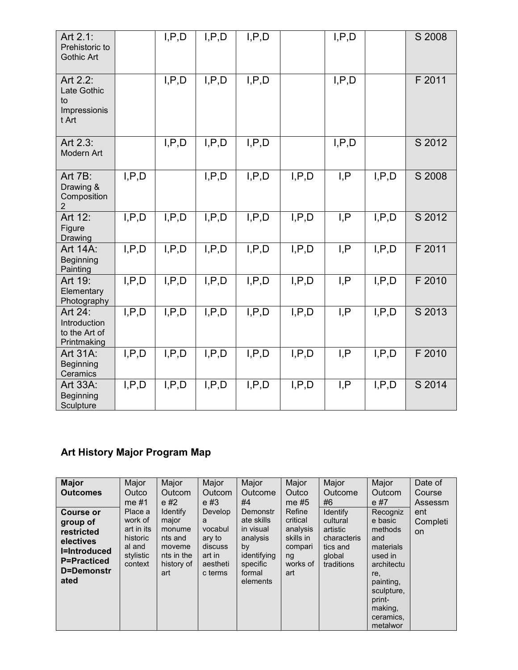| Art 2.1:<br>Prehistoric to<br><b>Gothic Art</b>         |         | I, P, D | I, P, D | I, P, D |         | I, P, D |         | S 2008 |
|---------------------------------------------------------|---------|---------|---------|---------|---------|---------|---------|--------|
| Art 2.2:<br>Late Gothic<br>to<br>Impressionis<br>t Art  |         | I, P, D | I, P, D | I, P, D |         | I, P, D |         | F 2011 |
| Art 2.3:<br>Modern Art                                  |         | I, P, D | I, P, D | I, P, D |         | I, P, D |         | S 2012 |
| Art 7B:<br>Drawing &<br>Composition<br>2                | I, P, D |         | I, P, D | I, P, D | I, P, D | I, P    | I, P, D | S 2008 |
| Art 12:<br>Figure<br>Drawing                            | I, P, D | I, P, D | I, P, D | I, P, D | I, P, D | I, P    | I, P, D | S 2012 |
| Art 14A:<br><b>Beginning</b><br>Painting                | I, P, D | I, P, D | I, P, D | I, P, D | I, P, D | I, P    | I, P, D | F 2011 |
| Art 19:<br>Elementary<br>Photography                    | I, P, D | I, P, D | I, P, D | I, P, D | I, P, D | I, P    | I, P, D | F 2010 |
| Art 24:<br>Introduction<br>to the Art of<br>Printmaking | I, P, D | I, P, D | I, P, D | I, P, D | I, P, D | I, P    | I, P, D | S 2013 |
| Art 31A:<br>Beginning<br>Ceramics                       | I, P, D | I, P, D | I, P, D | I, P, D | I, P, D | I, P    | I, P, D | F 2010 |
| Art 33A:<br>Beginning<br>Sculpture                      | I, P, D | I, P, D | I, P, D | I, P, D | I, P, D | I, P    | I, P, D | S 2014 |

# **Art History Major Program Map**

| <b>Major</b><br><b>Outcomes</b>                                                                                            | Major<br>Outco<br>me #1                                                        | Major<br>Outcom<br>e#2                                                                     | Major<br>Outcom<br>$e \#3$                                                    | Major<br>Outcome<br>#4                                                                                 | Major<br>Outco<br>me $#5$                                                       | Major<br>Outcome<br>#6                                                              | Major<br>Outcom<br>e #7                                                                                                                                     | Date of<br>Course<br>Assessm |
|----------------------------------------------------------------------------------------------------------------------------|--------------------------------------------------------------------------------|--------------------------------------------------------------------------------------------|-------------------------------------------------------------------------------|--------------------------------------------------------------------------------------------------------|---------------------------------------------------------------------------------|-------------------------------------------------------------------------------------|-------------------------------------------------------------------------------------------------------------------------------------------------------------|------------------------------|
| <b>Course or</b><br>group of<br>restricted<br>electives<br><b>I=Introduced</b><br><b>P=Practiced</b><br>D=Demonstr<br>ated | Place a<br>work of<br>art in its<br>historic<br>al and<br>stylistic<br>context | <b>Identify</b><br>major<br>monume<br>nts and<br>moveme<br>nts in the<br>history of<br>art | Develop<br>a<br>vocabul<br>ary to<br>discuss<br>art in<br>aestheti<br>c terms | Demonstr<br>ate skills<br>in visual<br>analysis<br>by<br>identifying<br>specific<br>formal<br>elements | Refine<br>critical<br>analysis<br>skills in<br>compari<br>ng<br>works of<br>art | Identify<br>cultural<br>artistic<br>characteris<br>tics and<br>qlobal<br>traditions | Recogniz<br>e basic<br>methods<br>and<br>materials<br>used in<br>architectu<br>re.<br>painting,<br>sculpture,<br>print-<br>making,<br>ceramics,<br>metalwor | ent<br>Completi<br><b>on</b> |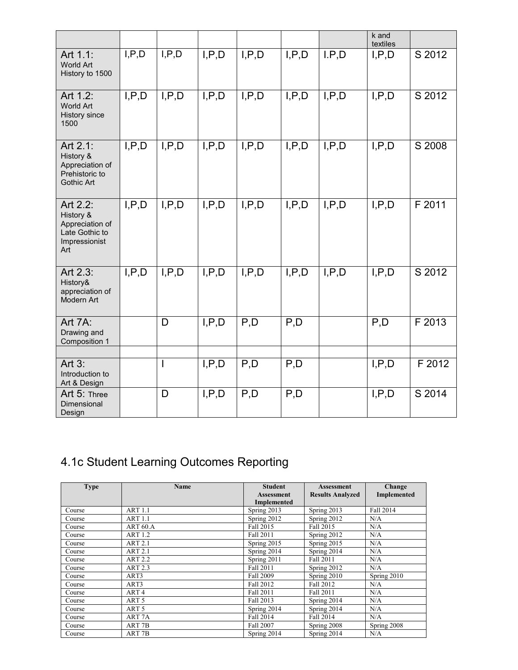|                                                                                    |         |         |         |         |         |         | k and<br>textiles |        |
|------------------------------------------------------------------------------------|---------|---------|---------|---------|---------|---------|-------------------|--------|
| Art 1.1:<br>World Art<br>History to 1500                                           | I, P, D | I, P, D | I, P, D | I, P, D | I, P, D | I.P.D   | I, P, D           | S 2012 |
| Art 1.2:<br><b>World Art</b><br>History since<br>1500                              | I, P, D | I, P, D | I, P, D | I, P, D | I, P, D | I, P, D | I, P, D           | S 2012 |
| Art 2.1:<br>History &<br>Appreciation of<br>Prehistoric to<br>Gothic Art           | I, P, D | I, P, D | I, P, D | I.P.D   | I, P, D | I, P, D | I, P, D           | S 2008 |
| Art 2.2:<br>History &<br>Appreciation of<br>Late Gothic to<br>Impressionist<br>Art | I, P, D | I, P, D | I, P, D | I, P, D | I, P, D | I, P, D | I, P, D           | F 2011 |
| Art 2.3:<br>History&<br>appreciation of<br>Modern Art                              | I, P, D | I, P, D | I, P, D | I, P, D | I, P, D | I, P, D | I, P, D           | S 2012 |
| Art 7A:<br>Drawing and<br>Composition 1                                            |         | D       | I, P, D | P, D    | P, D    |         | P, D              | F 2013 |
| Art $3:$<br>Introduction to<br>Art & Design                                        |         | I       | I, P, D | P,D     | P, D    |         | I, P, D           | F 2012 |
| Art 5: Three<br>Dimensional<br>Design                                              |         | D       | I, P, D | P,D     | P,D     |         | I, P, D           | S 2014 |

# 4.1c Student Learning Outcomes Reporting

| <b>Type</b> | <b>Name</b>         | <b>Student</b><br><b>Assessment</b> | <b>Assessment</b><br><b>Results Analyzed</b> | Change<br>Implemented |
|-------------|---------------------|-------------------------------------|----------------------------------------------|-----------------------|
|             |                     | <b>Implemented</b>                  |                                              |                       |
| Course      | <b>ART 1.1</b>      | Spring 2013                         | Spring 2013                                  | Fall 2014             |
| Course      | <b>ART 1.1</b>      | Spring 2012                         | Spring 2012                                  | N/A                   |
| Course      | ART <sub>60.A</sub> | Fall 2015                           | Fall 2015                                    | N/A                   |
| Course      | <b>ART 1.2</b>      | Fall 2011                           | Spring 2012                                  | N/A                   |
| Course      | <b>ART 2.1</b>      | Spring 2015                         | Spring 2015                                  | N/A                   |
| Course      | <b>ART 2.1</b>      | Spring 2014                         | Spring 2014                                  | N/A                   |
| Course      | <b>ART 2.2</b>      | Spring 2011                         | <b>Fall 2011</b>                             | N/A                   |
| Course      | <b>ART 2.3</b>      | Fall 2011                           | Spring 2012                                  | N/A                   |
| Course      | ART3                | <b>Fall 2009</b>                    | Spring 2010                                  | Spring 2010           |
| Course      | ART3                | Fall 2012                           | Fall 2012                                    | N/A                   |
| Course      | ART <sub>4</sub>    | Fall 2011                           | <b>Fall 2011</b>                             | N/A                   |
| Course      | ART <sub>5</sub>    | Fall 2013                           | Spring 2014                                  | N/A                   |
| Course      | ART <sub>5</sub>    | Spring 2014                         | Spring 2014                                  | N/A                   |
| Course      | ART <sub>7A</sub>   | Fall 2014                           | Fall 2014                                    | N/A                   |
| Course      | ART <sub>7B</sub>   | Fall 2007                           | Spring 2008                                  | Spring 2008           |
| Course      | ART <sub>7B</sub>   | Spring 2014                         | Spring 2014                                  | N/A                   |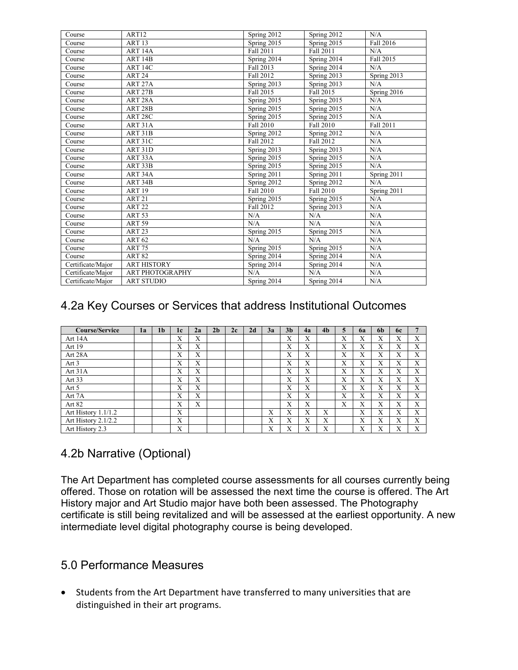| Course            | ART <sub>12</sub>   | Spring 2012              | Spring 2012              | N/A              |
|-------------------|---------------------|--------------------------|--------------------------|------------------|
| Course            | <b>ART 13</b>       | Spring 2015              | Spring 2015              | <b>Fall 2016</b> |
| Course            | ART <sub>14A</sub>  | Fall 2011                | Fall 2011                | N/A              |
| Course            | ART <sub>14B</sub>  | Spring 2014              | Spring 2014              | Fall 2015        |
| Course            | ART 14C             | Fall 2013                | Spring 2014              | N/A              |
| Course            | ART <sub>24</sub>   | Fall 2012                | Spring 2013              | Spring 2013      |
| Course            | ART <sub>27A</sub>  | Spring 2013              | Spring 2013              | N/A              |
| Course            | ART <sub>27B</sub>  | Fall 2015                | Fall 2015                | Spring 2016      |
| Course            | ART <sub>28</sub> A | Spring 2015              | Spring 2015              | N/A              |
| Course            | ART <sub>28</sub> B | Spring 2015              | Spring 2015              | N/A              |
| Course            | ART <sub>28C</sub>  | Spring 2015              | Spring 2015              | N/A              |
| Course            | ART <sub>31</sub> A | Fall 2010                | Fall 2010                | Fall 2011        |
| Course            | ART <sub>31</sub> B | Spring 2012              | Spring 2012              | N/A              |
| Course            | ART 31C             | Fall 2012                | <b>Fall 2012</b>         | N/A              |
| Course            | ART 31D             | Spring 2013              | Spring 2013              | N/A              |
| Course            | ART <sub>33</sub> A | Spring 2015              | Spring 2015              | N/A              |
| Course            | ART <sub>33</sub> B | Spring 2015              | Spring 2015              | N/A              |
| Course            | ART <sub>34</sub> A | Spring 2011              | Spring 2011              | Spring $2011$    |
| Course            | ART <sub>34</sub> B | Spring 2012              | Spring 2012              | N/A              |
| Course            | <b>ART 19</b>       | Fall 2010                | Fall 2010                | Spring 2011      |
| Course            | <b>ART 21</b>       | Spring 2015              | Spring 2015              | N/A              |
| Course            | <b>ART 22</b>       | Fall 2012                | Spring 2013              | N/A              |
| Course            | ART <sub>53</sub>   | N/A                      | N/A                      | N/A              |
| Course            | <b>ART 59</b>       | N/A                      | N/A                      | N/A              |
| Course            | ART <sub>23</sub>   | Spring 2015              | Spring 2015              | N/A              |
| Course            | <b>ART 62</b>       | N/A                      | N/A                      | N/A              |
| Course            | <b>ART 75</b>       | Spring 2015              | Spring 2015              | N/A              |
| Course            | <b>ART 82</b>       | Spring 2014              | Spring 2014              | N/A              |
| Certificate/Major | <b>ART HISTORY</b>  | Spring 2014              | Spring 2014              | N/A              |
| Certificate/Major | ART PHOTOGRAPHY     | N/A                      | N/A                      | N/A              |
| Certificate/Maior | <b>ART STUDIO</b>   | Spring $20\overline{14}$ | Spring $20\overline{14}$ | N/A              |

## 4.2a Key Courses or Services that address Institutional Outcomes

| <b>Course/Service</b> | 1a | 1 <sub>b</sub> | 1 <sub>c</sub> | 2a | 2 <sub>b</sub> | 2c | 2d | 3a                        | 3 <sub>h</sub>    | 4a | 4 <sub>b</sub> | 5 | 6a | 6 <sub>b</sub> | <b>6c</b> |   |
|-----------------------|----|----------------|----------------|----|----------------|----|----|---------------------------|-------------------|----|----------------|---|----|----------------|-----------|---|
| Art 14A               |    |                | X              | X  |                |    |    |                           | X                 | X  |                | X | Х  | Х              | Х         | X |
| Art 19                |    |                | X              | X  |                |    |    |                           | X                 | X  |                | X | Х  | Х              | X         | X |
| Art 28A               |    |                | X              | X  |                |    |    |                           | X                 | X  |                | X | X  | Х              | Х         | X |
| Art 3                 |    |                | X              | X  |                |    |    |                           | X                 | X  |                | X | X  | Х              | X         | X |
| Art 31A               |    |                | X              | X  |                |    |    |                           | X                 | X  |                | X | X  | X              | X         | X |
| Art 33                |    |                | X              | X  |                |    |    |                           | X                 | X  |                | X | X  | X              | X         | X |
| Art 5                 |    |                | X              | X  |                |    |    |                           | X                 | X  |                | X | Х  | Х              | X         | X |
| Art 7A                |    |                | X              | X  |                |    |    |                           | X                 | X  |                | X | X  | X              | X         | X |
| Art 82                |    |                | X              | X  |                |    |    |                           | X                 | X  |                | X | X  | X              | X         | X |
| Art History 1.1/1.2   |    |                | X              |    |                |    |    | X                         | X                 | X  | X              |   | X  | X              | X         | X |
| Art History 2.1/2.2   |    |                | X              |    |                |    |    | $\mathbf{v}$<br>л         | X                 | X  | X              |   | X  | X              | X         | X |
| Art History 2.3       |    |                | X              |    |                |    |    | $\mathbf{v}$<br>$\lambda$ | $\mathbf{v}$<br>л | X  | X              |   | Х  | Х              | Х         | X |

### 4.2b Narrative (Optional)

The Art Department has completed course assessments for all courses currently being offered. Those on rotation will be assessed the next time the course is offered. The Art History major and Art Studio major have both been assessed. The Photography certificate is still being revitalized and will be assessed at the earliest opportunity. A new intermediate level digital photography course is being developed.

#### 5.0 Performance Measures

• Students from the Art Department have transferred to many universities that are distinguished in their art programs.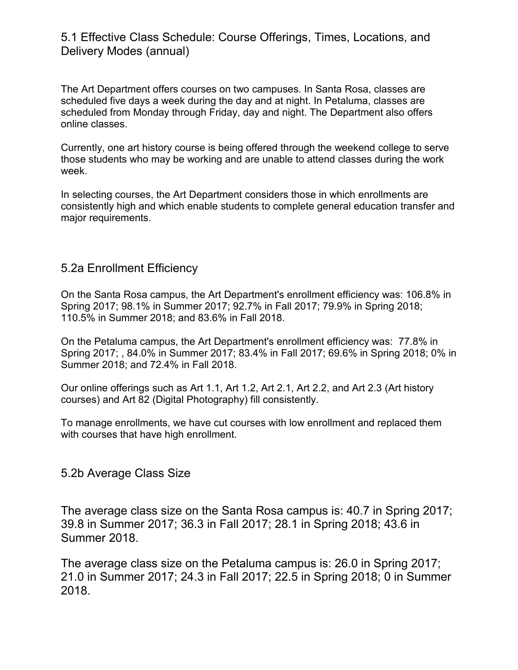#### 5.1 Effective Class Schedule: Course Offerings, Times, Locations, and Delivery Modes (annual)

The Art Department offers courses on two campuses. In Santa Rosa, classes are scheduled five days a week during the day and at night. In Petaluma, classes are scheduled from Monday through Friday, day and night. The Department also offers online classes.

Currently, one art history course is being offered through the weekend college to serve those students who may be working and are unable to attend classes during the work week.

In selecting courses, the Art Department considers those in which enrollments are consistently high and which enable students to complete general education transfer and major requirements.

#### 5.2a Enrollment Efficiency

On the Santa Rosa campus, the Art Department's enrollment efficiency was: 106.8% in Spring 2017; 98.1% in Summer 2017; 92.7% in Fall 2017; 79.9% in Spring 2018; 110.5% in Summer 2018; and 83.6% in Fall 2018.

On the Petaluma campus, the Art Department's enrollment efficiency was: 77.8% in Spring 2017; , 84.0% in Summer 2017; 83.4% in Fall 2017; 69.6% in Spring 2018; 0% in Summer 2018; and 72.4% in Fall 2018.

Our online offerings such as Art 1.1, Art 1.2, Art 2.1, Art 2.2, and Art 2.3 (Art history courses) and Art 82 (Digital Photography) fill consistently.

To manage enrollments, we have cut courses with low enrollment and replaced them with courses that have high enrollment.

#### 5.2b Average Class Size

The average class size on the Santa Rosa campus is: 40.7 in Spring 2017; 39.8 in Summer 2017; 36.3 in Fall 2017; 28.1 in Spring 2018; 43.6 in Summer 2018.

The average class size on the Petaluma campus is: 26.0 in Spring 2017; 21.0 in Summer 2017; 24.3 in Fall 2017; 22.5 in Spring 2018; 0 in Summer 2018.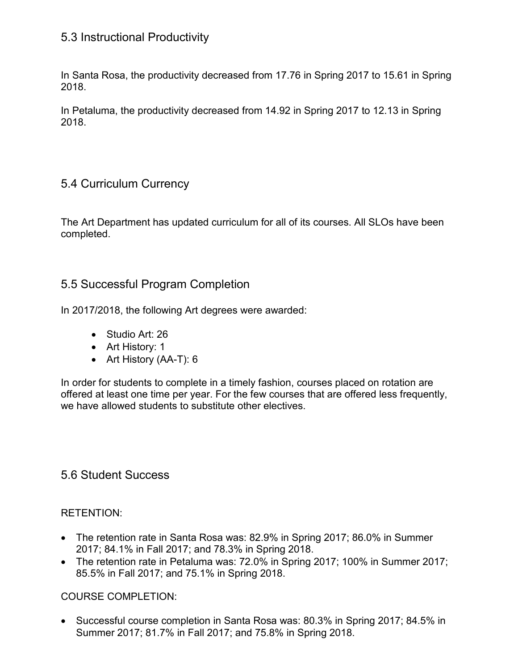### 5.3 Instructional Productivity

In Santa Rosa, the productivity decreased from 17.76 in Spring 2017 to 15.61 in Spring 2018.

In Petaluma, the productivity decreased from 14.92 in Spring 2017 to 12.13 in Spring 2018.

### 5.4 Curriculum Currency

The Art Department has updated curriculum for all of its courses. All SLOs have been completed.

### 5.5 Successful Program Completion

In 2017/2018, the following Art degrees were awarded:

- Studio Art: 26
- Art History: 1
- Art History (AA-T): 6

In order for students to complete in a timely fashion, courses placed on rotation are offered at least one time per year. For the few courses that are offered less frequently, we have allowed students to substitute other electives.

#### 5.6 Student Success

#### RETENTION:

- The retention rate in Santa Rosa was: 82.9% in Spring 2017; 86.0% in Summer 2017; 84.1% in Fall 2017; and 78.3% in Spring 2018.
- The retention rate in Petaluma was: 72.0% in Spring 2017; 100% in Summer 2017; 85.5% in Fall 2017; and 75.1% in Spring 2018.

#### COURSE COMPLETION:

• Successful course completion in Santa Rosa was: 80.3% in Spring 2017; 84.5% in Summer 2017; 81.7% in Fall 2017; and 75.8% in Spring 2018.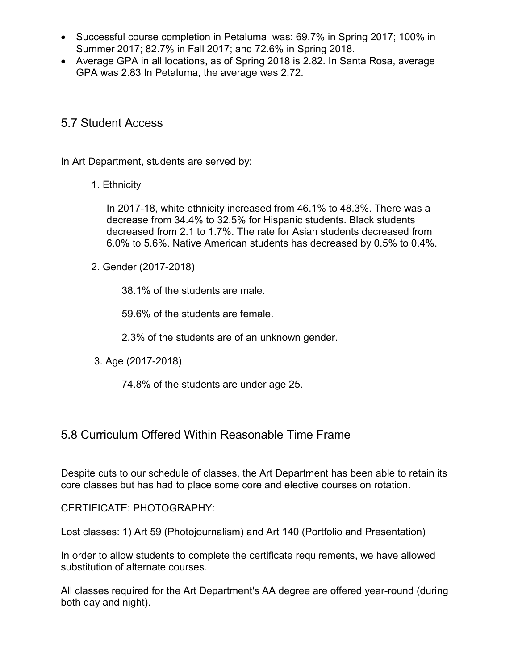- Successful course completion in Petaluma was: 69.7% in Spring 2017; 100% in Summer 2017; 82.7% in Fall 2017; and 72.6% in Spring 2018.
- Average GPA in all locations, as of Spring 2018 is 2.82. In Santa Rosa, average GPA was 2.83 In Petaluma, the average was 2.72.

#### 5.7 Student Access

In Art Department, students are served by:

1. Ethnicity

In 2017-18, white ethnicity increased from 46.1% to 48.3%. There was a decrease from 34.4% to 32.5% for Hispanic students. Black students decreased from 2.1 to 1.7%. The rate for Asian students decreased from 6.0% to 5.6%. Native American students has decreased by 0.5% to 0.4%.

2. Gender (2017-2018)

38.1% of the students are male.

59.6% of the students are female.

2.3% of the students are of an unknown gender.

3. Age (2017-2018)

74.8% of the students are under age 25.

#### 5.8 Curriculum Offered Within Reasonable Time Frame

Despite cuts to our schedule of classes, the Art Department has been able to retain its core classes but has had to place some core and elective courses on rotation.

CERTIFICATE: PHOTOGRAPHY:

Lost classes: 1) Art 59 (Photojournalism) and Art 140 (Portfolio and Presentation)

In order to allow students to complete the certificate requirements, we have allowed substitution of alternate courses.

All classes required for the Art Department's AA degree are offered year-round (during both day and night).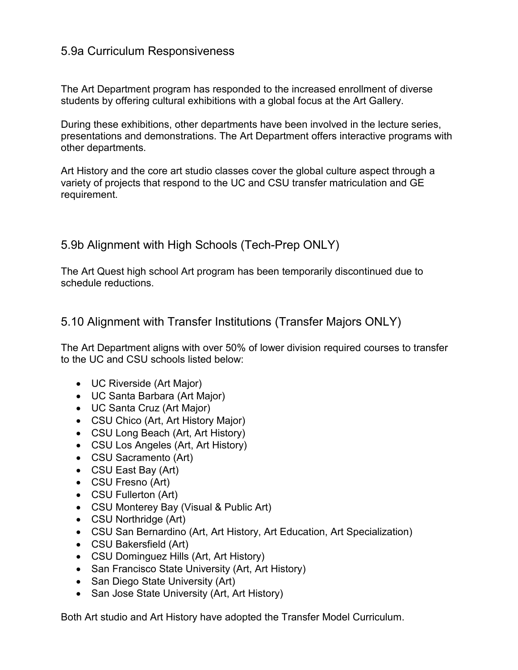### 5.9a Curriculum Responsiveness

The Art Department program has responded to the increased enrollment of diverse students by offering cultural exhibitions with a global focus at the Art Gallery.

During these exhibitions, other departments have been involved in the lecture series, presentations and demonstrations. The Art Department offers interactive programs with other departments.

Art History and the core art studio classes cover the global culture aspect through a variety of projects that respond to the UC and CSU transfer matriculation and GE requirement.

### 5.9b Alignment with High Schools (Tech-Prep ONLY)

The Art Quest high school Art program has been temporarily discontinued due to schedule reductions.

5.10 Alignment with Transfer Institutions (Transfer Majors ONLY)

The Art Department aligns with over 50% of lower division required courses to transfer to the UC and CSU schools listed below:

- UC Riverside (Art Major)
- UC Santa Barbara (Art Major)
- UC Santa Cruz (Art Major)
- CSU Chico (Art, Art History Major)
- CSU Long Beach (Art, Art History)
- CSU Los Angeles (Art, Art History)
- CSU Sacramento (Art)
- CSU East Bay (Art)
- CSU Fresno (Art)
- CSU Fullerton (Art)
- CSU Monterey Bay (Visual & Public Art)
- CSU Northridge (Art)
- CSU San Bernardino (Art, Art History, Art Education, Art Specialization)
- CSU Bakersfield (Art)
- CSU Dominguez Hills (Art, Art History)
- San Francisco State University (Art, Art History)
- San Diego State University (Art)
- San Jose State University (Art, Art History)

Both Art studio and Art History have adopted the Transfer Model Curriculum.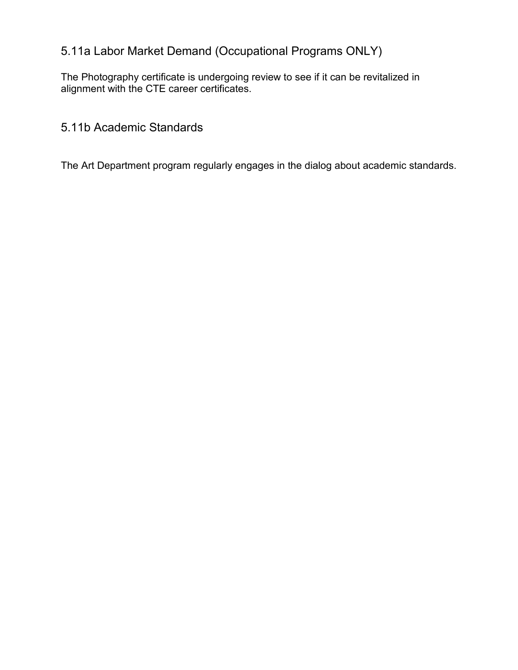## 5.11a Labor Market Demand (Occupational Programs ONLY)

The Photography certificate is undergoing review to see if it can be revitalized in alignment with the CTE career certificates.

5.11b Academic Standards

The Art Department program regularly engages in the dialog about academic standards.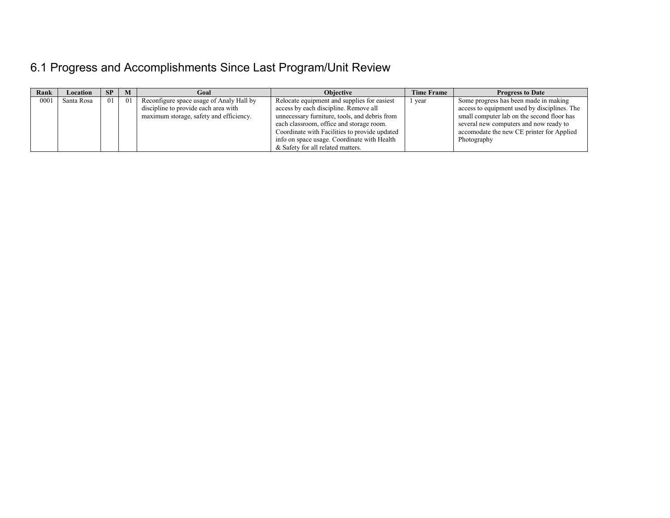# 6.1 Progress and Accomplishments Since Last Program/Unit Review

| Rank | Location   | <b>SP</b> | M    | Goal                                                                                                                        | <b>Objective</b>                                                                                                                                                                                                                                                                                                       | <b>Time Frame</b> | <b>Progress to Date</b>                                                                                                                                                                                                                   |
|------|------------|-----------|------|-----------------------------------------------------------------------------------------------------------------------------|------------------------------------------------------------------------------------------------------------------------------------------------------------------------------------------------------------------------------------------------------------------------------------------------------------------------|-------------------|-------------------------------------------------------------------------------------------------------------------------------------------------------------------------------------------------------------------------------------------|
| 0001 | Santa Rosa | 01        | - 01 | Reconfigure space usage of Analy Hall by<br>discipline to provide each area with<br>maximum storage, safety and efficiency. | Relocate equipment and supplies for easiest<br>access by each discipline. Remove all<br>unnecessary furniture, tools, and debris from<br>each classroom, office and storage room.<br>Coordinate with Facilities to provide updated<br>info on space usage. Coordinate with Health<br>& Safety for all related matters. | year              | Some progress has been made in making<br>access to equipment used by disciplines. The<br>small computer lab on the second floor has<br>several new computers and now ready to<br>accomodate the new CE printer for Applied<br>Photography |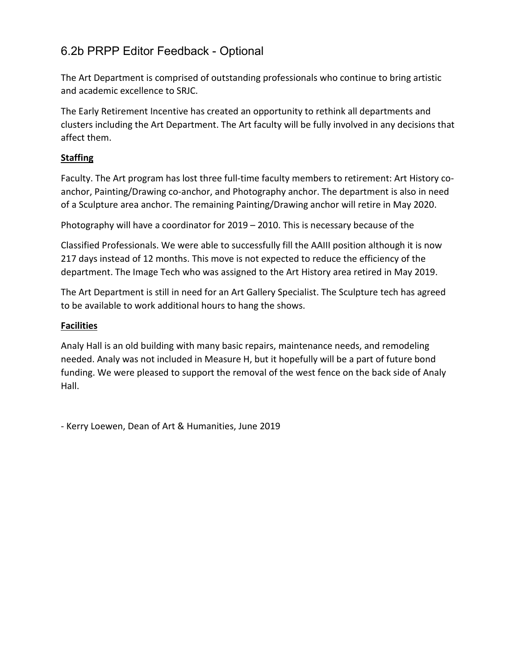## 6.2b PRPP Editor Feedback - Optional

The Art Department is comprised of outstanding professionals who continue to bring artistic and academic excellence to SRJC.

The Early Retirement Incentive has created an opportunity to rethink all departments and clusters including the Art Department. The Art faculty will be fully involved in any decisions that affect them.

#### **Staffing**

Faculty. The Art program has lost three full-time faculty members to retirement: Art History coanchor, Painting/Drawing co-anchor, and Photography anchor. The department is also in need of a Sculpture area anchor. The remaining Painting/Drawing anchor will retire in May 2020.

Photography will have a coordinator for 2019 – 2010. This is necessary because of the

Classified Professionals. We were able to successfully fill the AAIII position although it is now 217 days instead of 12 months. This move is not expected to reduce the efficiency of the department. The Image Tech who was assigned to the Art History area retired in May 2019.

The Art Department is still in need for an Art Gallery Specialist. The Sculpture tech has agreed to be available to work additional hours to hang the shows.

#### **Facilities**

Analy Hall is an old building with many basic repairs, maintenance needs, and remodeling needed. Analy was not included in Measure H, but it hopefully will be a part of future bond funding. We were pleased to support the removal of the west fence on the back side of Analy Hall.

- Kerry Loewen, Dean of Art & Humanities, June 2019